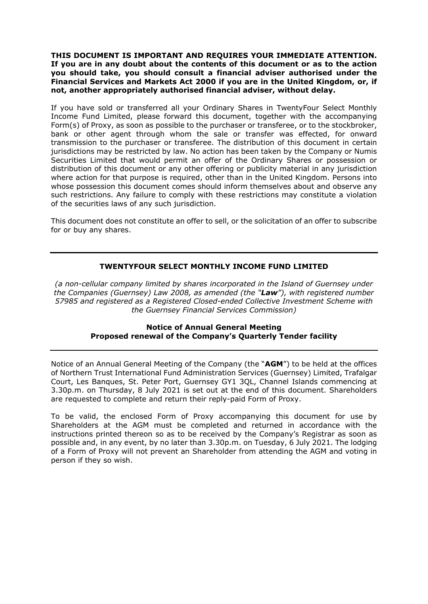**THIS DOCUMENT IS IMPORTANT AND REQUIRES YOUR IMMEDIATE ATTENTION. If you are in any doubt about the contents of this document or as to the action you should take, you should consult a financial adviser authorised under the Financial Services and Markets Act 2000 if you are in the United Kingdom, or, if not, another appropriately authorised financial adviser, without delay.** 

If you have sold or transferred all your Ordinary Shares in TwentyFour Select Monthly Income Fund Limited, please forward this document, together with the accompanying Form(s) of Proxy, as soon as possible to the purchaser or transferee, or to the stockbroker, bank or other agent through whom the sale or transfer was effected, for onward transmission to the purchaser or transferee. The distribution of this document in certain jurisdictions may be restricted by law. No action has been taken by the Company or Numis Securities Limited that would permit an offer of the Ordinary Shares or possession or distribution of this document or any other offering or publicity material in any jurisdiction where action for that purpose is required, other than in the United Kingdom. Persons into whose possession this document comes should inform themselves about and observe any such restrictions. Any failure to comply with these restrictions may constitute a violation of the securities laws of any such jurisdiction.

This document does not constitute an offer to sell, or the solicitation of an offer to subscribe for or buy any shares.

# **TWENTYFOUR SELECT MONTHLY INCOME FUND LIMITED**

*(a non-cellular company limited by shares incorporated in the Island of Guernsey under the Companies (Guernsey) Law 2008, as amended (the "Law"), with registered number 57985 and registered as a Registered Closed-ended Collective Investment Scheme with the Guernsey Financial Services Commission)*

# **Notice of Annual General Meeting Proposed renewal of the Company's Quarterly Tender facility**

Notice of an Annual General Meeting of the Company (the "**AGM**") to be held at the offices of Northern Trust International Fund Administration Services (Guernsey) Limited, Trafalgar Court, Les Banques, St. Peter Port, Guernsey GY1 3QL, Channel Islands commencing at 3.30p.m. on Thursday, 8 July 2021 is set out at the end of this document. Shareholders are requested to complete and return their reply-paid Form of Proxy.

To be valid, the enclosed Form of Proxy accompanying this document for use by Shareholders at the AGM must be completed and returned in accordance with the instructions printed thereon so as to be received by the Company's Registrar as soon as possible and, in any event, by no later than 3.30p.m. on Tuesday, 6 July 2021. The lodging of a Form of Proxy will not prevent an Shareholder from attending the AGM and voting in person if they so wish.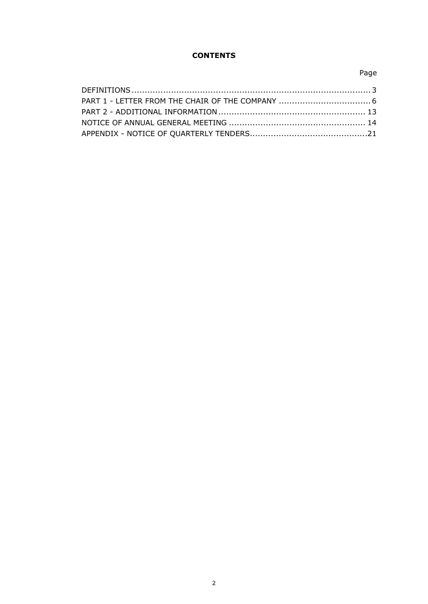# **CONTENTS**

# Page

| PART 1 - LETTER FROM THE CHAIR OF THE COMPANY  6 |  |
|--------------------------------------------------|--|
|                                                  |  |
|                                                  |  |
|                                                  |  |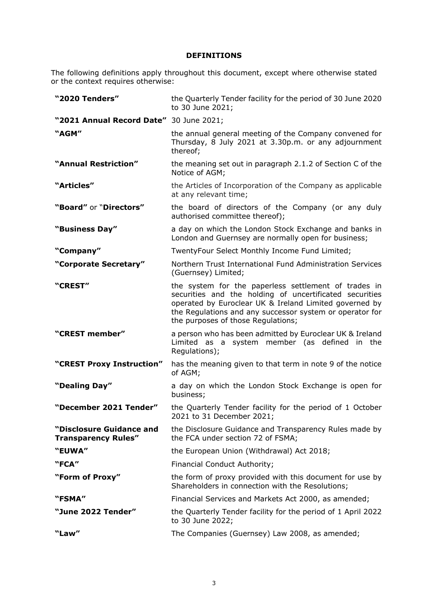# **DEFINITIONS**

The following definitions apply throughout this document, except where otherwise stated or the context requires otherwise:

| "2020 Tenders"                                         | the Quarterly Tender facility for the period of 30 June 2020<br>to 30 June 2021;                                                                                                                                                                                            |
|--------------------------------------------------------|-----------------------------------------------------------------------------------------------------------------------------------------------------------------------------------------------------------------------------------------------------------------------------|
| "2021 Annual Record Date" 30 June 2021;                |                                                                                                                                                                                                                                                                             |
| "AGM"                                                  | the annual general meeting of the Company convened for<br>Thursday, 8 July 2021 at 3.30p.m. or any adjournment<br>thereof;                                                                                                                                                  |
| "Annual Restriction"                                   | the meaning set out in paragraph 2.1.2 of Section C of the<br>Notice of AGM;                                                                                                                                                                                                |
| "Articles"                                             | the Articles of Incorporation of the Company as applicable<br>at any relevant time;                                                                                                                                                                                         |
| "Board" or "Directors"                                 | the board of directors of the Company (or any duly<br>authorised committee thereof);                                                                                                                                                                                        |
| "Business Day"                                         | a day on which the London Stock Exchange and banks in<br>London and Guernsey are normally open for business;                                                                                                                                                                |
| "Company"                                              | TwentyFour Select Monthly Income Fund Limited;                                                                                                                                                                                                                              |
| "Corporate Secretary"                                  | Northern Trust International Fund Administration Services<br>(Guernsey) Limited;                                                                                                                                                                                            |
| "CREST"                                                | the system for the paperless settlement of trades in<br>securities and the holding of uncertificated securities<br>operated by Euroclear UK & Ireland Limited governed by<br>the Regulations and any successor system or operator for<br>the purposes of those Regulations; |
| "CREST member"                                         | a person who has been admitted by Euroclear UK & Ireland<br>Limited as a system member (as defined in the<br>Regulations);                                                                                                                                                  |
| "CREST Proxy Instruction"                              | has the meaning given to that term in note 9 of the notice<br>of AGM;                                                                                                                                                                                                       |
| "Dealing Day"                                          | a day on which the London Stock Exchange is open for<br>business;                                                                                                                                                                                                           |
| "December 2021 Tender"                                 | the Quarterly Tender facility for the period of 1 October<br>2021 to 31 December 2021;                                                                                                                                                                                      |
| "Disclosure Guidance and<br><b>Transparency Rules"</b> | the Disclosure Guidance and Transparency Rules made by<br>the FCA under section 72 of FSMA;                                                                                                                                                                                 |
| "EUWA"                                                 | the European Union (Withdrawal) Act 2018;                                                                                                                                                                                                                                   |
| "FCA"                                                  | Financial Conduct Authority;                                                                                                                                                                                                                                                |
| "Form of Proxy"                                        | the form of proxy provided with this document for use by<br>Shareholders in connection with the Resolutions;                                                                                                                                                                |
| "FSMA"                                                 | Financial Services and Markets Act 2000, as amended;                                                                                                                                                                                                                        |
| "June 2022 Tender"                                     | the Quarterly Tender facility for the period of 1 April 2022<br>to 30 June 2022;                                                                                                                                                                                            |
| "Law"                                                  | The Companies (Guernsey) Law 2008, as amended;                                                                                                                                                                                                                              |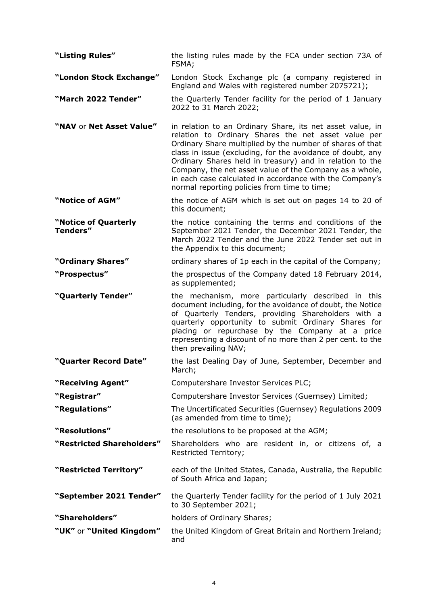| "Listing Rules"                         | the listing rules made by the FCA under section 73A of<br>FSMA;                                                                                                                                                                                                                                                                                                                                                                                                                |
|-----------------------------------------|--------------------------------------------------------------------------------------------------------------------------------------------------------------------------------------------------------------------------------------------------------------------------------------------------------------------------------------------------------------------------------------------------------------------------------------------------------------------------------|
| "London Stock Exchange"                 | London Stock Exchange plc (a company registered in<br>England and Wales with registered number 2075721);                                                                                                                                                                                                                                                                                                                                                                       |
| "March 2022 Tender"                     | the Quarterly Tender facility for the period of 1 January<br>2022 to 31 March 2022;                                                                                                                                                                                                                                                                                                                                                                                            |
| "NAV or Net Asset Value"                | in relation to an Ordinary Share, its net asset value, in<br>relation to Ordinary Shares the net asset value per<br>Ordinary Share multiplied by the number of shares of that<br>class in issue (excluding, for the avoidance of doubt, any<br>Ordinary Shares held in treasury) and in relation to the<br>Company, the net asset value of the Company as a whole,<br>in each case calculated in accordance with the Company's<br>normal reporting policies from time to time; |
| "Notice of AGM"                         | the notice of AGM which is set out on pages 14 to 20 of<br>this document;                                                                                                                                                                                                                                                                                                                                                                                                      |
| "Notice of Quarterly<br><b>Tenders"</b> | the notice containing the terms and conditions of the<br>September 2021 Tender, the December 2021 Tender, the<br>March 2022 Tender and the June 2022 Tender set out in<br>the Appendix to this document;                                                                                                                                                                                                                                                                       |
| "Ordinary Shares"                       | ordinary shares of 1p each in the capital of the Company;                                                                                                                                                                                                                                                                                                                                                                                                                      |
| "Prospectus"                            | the prospectus of the Company dated 18 February 2014,<br>as supplemented;                                                                                                                                                                                                                                                                                                                                                                                                      |
| "Quarterly Tender"                      | the mechanism, more particularly described in this<br>document including, for the avoidance of doubt, the Notice<br>of Quarterly Tenders, providing Shareholders with a<br>quarterly opportunity to submit Ordinary Shares for<br>placing or repurchase by the Company at a price<br>representing a discount of no more than 2 per cent. to the<br>then prevailing NAV;                                                                                                        |
| "Quarter Record Date"                   | the last Dealing Day of June, September, December and<br>March;                                                                                                                                                                                                                                                                                                                                                                                                                |
| "Receiving Agent"                       | Computershare Investor Services PLC;                                                                                                                                                                                                                                                                                                                                                                                                                                           |
| "Registrar"                             | Computershare Investor Services (Guernsey) Limited;                                                                                                                                                                                                                                                                                                                                                                                                                            |
| "Regulations"                           | The Uncertificated Securities (Guernsey) Regulations 2009<br>(as amended from time to time);                                                                                                                                                                                                                                                                                                                                                                                   |
| "Resolutions"                           | the resolutions to be proposed at the AGM;                                                                                                                                                                                                                                                                                                                                                                                                                                     |
| "Restricted Shareholders"               | Shareholders who are resident in, or citizens of, a<br>Restricted Territory;                                                                                                                                                                                                                                                                                                                                                                                                   |
| "Restricted Territory"                  | each of the United States, Canada, Australia, the Republic<br>of South Africa and Japan;                                                                                                                                                                                                                                                                                                                                                                                       |
| "September 2021 Tender"                 | the Quarterly Tender facility for the period of 1 July 2021<br>to 30 September 2021;                                                                                                                                                                                                                                                                                                                                                                                           |
| "Shareholders"                          | holders of Ordinary Shares;                                                                                                                                                                                                                                                                                                                                                                                                                                                    |
| "UK" or "United Kingdom"                | the United Kingdom of Great Britain and Northern Ireland;<br>and                                                                                                                                                                                                                                                                                                                                                                                                               |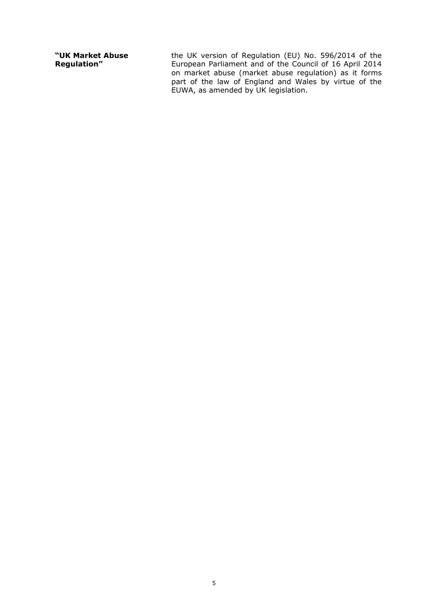**"UK Market Abuse Regulation"** 

the UK version of Regulation (EU) No. 596/2014 of the European Parliament and of the Council of 16 April 2014 on market abuse (market abuse regulation) as it forms part of the law of England and Wales by virtue of the EUWA, as amended by UK legislation.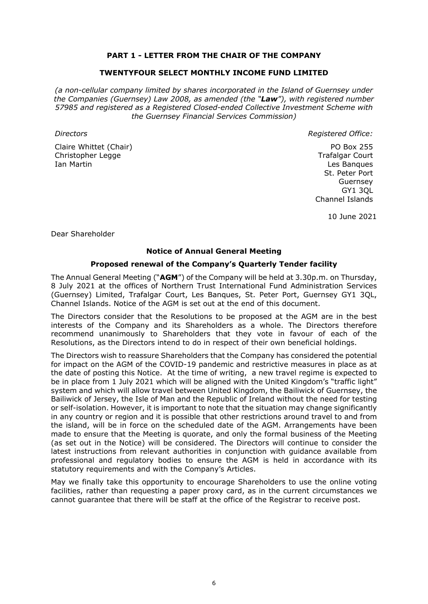# **PART 1 - LETTER FROM THE CHAIR OF THE COMPANY**

### **TWENTYFOUR SELECT MONTHLY INCOME FUND LIMITED**

*(a non-cellular company limited by shares incorporated in the Island of Guernsey under the Companies (Guernsey) Law 2008, as amended (the "Law"), with registered number 57985 and registered as a Registered Closed-ended Collective Investment Scheme with the Guernsey Financial Services Commission)*

Claire Whittet (Chair) Christopher Legge Ian Martin

*Directors Registered Office:*

PO Box 255 Trafalgar Court Les Banques St. Peter Port Guernsey GY1 3QL Channel Islands

10 June 2021

Dear Shareholder

## **Notice of Annual General Meeting**

#### **Proposed renewal of the Company's Quarterly Tender facility**

The Annual General Meeting ("**AGM**") of the Company will be held at 3.30p.m. on Thursday, 8 July 2021 at the offices of Northern Trust International Fund Administration Services (Guernsey) Limited, Trafalgar Court, Les Banques, St. Peter Port, Guernsey GY1 3QL, Channel Islands. Notice of the AGM is set out at the end of this document.

The Directors consider that the Resolutions to be proposed at the AGM are in the best interests of the Company and its Shareholders as a whole. The Directors therefore recommend unanimously to Shareholders that they vote in favour of each of the Resolutions, as the Directors intend to do in respect of their own beneficial holdings.

The Directors wish to reassure Shareholders that the Company has considered the potential for impact on the AGM of the COVID-19 pandemic and restrictive measures in place as at the date of posting this Notice. At the time of writing, a new travel regime is expected to be in place from 1 July 2021 which will be aligned with the United Kingdom's "traffic light" system and which will allow travel between United Kingdom, the Bailiwick of Guernsey, the Bailiwick of Jersey, the Isle of Man and the Republic of Ireland without the need for testing or self-isolation. However, it is important to note that the situation may change significantly in any country or region and it is possible that other restrictions around travel to and from the island, will be in force on the scheduled date of the AGM. Arrangements have been made to ensure that the Meeting is quorate, and only the formal business of the Meeting (as set out in the Notice) will be considered. The Directors will continue to consider the latest instructions from relevant authorities in conjunction with guidance available from professional and regulatory bodies to ensure the AGM is held in accordance with its statutory requirements and with the Company's Articles.

May we finally take this opportunity to encourage Shareholders to use the online voting facilities, rather than requesting a paper proxy card, as in the current circumstances we cannot guarantee that there will be staff at the office of the Registrar to receive post.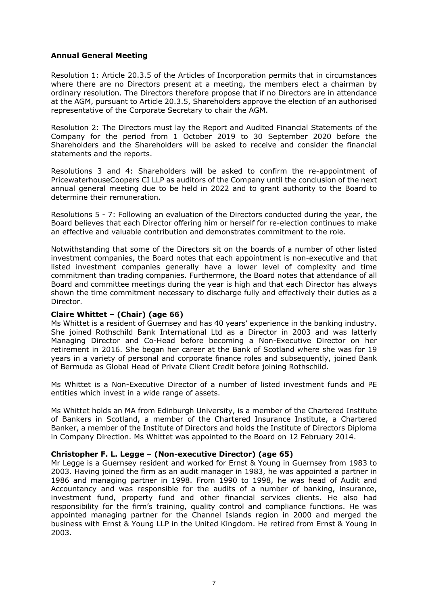# **Annual General Meeting**

Resolution 1: Article 20.3.5 of the Articles of Incorporation permits that in circumstances where there are no Directors present at a meeting, the members elect a chairman by ordinary resolution. The Directors therefore propose that if no Directors are in attendance at the AGM, pursuant to Article 20.3.5, Shareholders approve the election of an authorised representative of the Corporate Secretary to chair the AGM.

Resolution 2: The Directors must lay the Report and Audited Financial Statements of the Company for the period from 1 October 2019 to 30 September 2020 before the Shareholders and the Shareholders will be asked to receive and consider the financial statements and the reports.

Resolutions 3 and 4: Shareholders will be asked to confirm the re-appointment of PricewaterhouseCoopers CI LLP as auditors of the Company until the conclusion of the next annual general meeting due to be held in 2022 and to grant authority to the Board to determine their remuneration.

Resolutions 5 - 7: Following an evaluation of the Directors conducted during the year, the Board believes that each Director offering him or herself for re-election continues to make an effective and valuable contribution and demonstrates commitment to the role.

Notwithstanding that some of the Directors sit on the boards of a number of other listed investment companies, the Board notes that each appointment is non-executive and that listed investment companies generally have a lower level of complexity and time commitment than trading companies. Furthermore, the Board notes that attendance of all Board and committee meetings during the year is high and that each Director has always shown the time commitment necessary to discharge fully and effectively their duties as a Director.

## **Claire Whittet – (Chair) (age 66)**

Ms Whittet is a resident of Guernsey and has 40 years' experience in the banking industry. She joined Rothschild Bank International Ltd as a Director in 2003 and was latterly Managing Director and Co-Head before becoming a Non-Executive Director on her retirement in 2016. She began her career at the Bank of Scotland where she was for 19 years in a variety of personal and corporate finance roles and subsequently, joined Bank of Bermuda as Global Head of Private Client Credit before joining Rothschild.

Ms Whittet is a Non-Executive Director of a number of listed investment funds and PE entities which invest in a wide range of assets.

Ms Whittet holds an MA from Edinburgh University, is a member of the Chartered Institute of Bankers in Scotland, a member of the Chartered Insurance Institute, a Chartered Banker, a member of the Institute of Directors and holds the Institute of Directors Diploma in Company Direction. Ms Whittet was appointed to the Board on 12 February 2014.

## **Christopher F. L. Legge – (Non-executive Director) (age 65)**

Mr Legge is a Guernsey resident and worked for Ernst & Young in Guernsey from 1983 to 2003. Having joined the firm as an audit manager in 1983, he was appointed a partner in 1986 and managing partner in 1998. From 1990 to 1998, he was head of Audit and Accountancy and was responsible for the audits of a number of banking, insurance, investment fund, property fund and other financial services clients. He also had responsibility for the firm's training, quality control and compliance functions. He was appointed managing partner for the Channel Islands region in 2000 and merged the business with Ernst & Young LLP in the United Kingdom. He retired from Ernst & Young in 2003.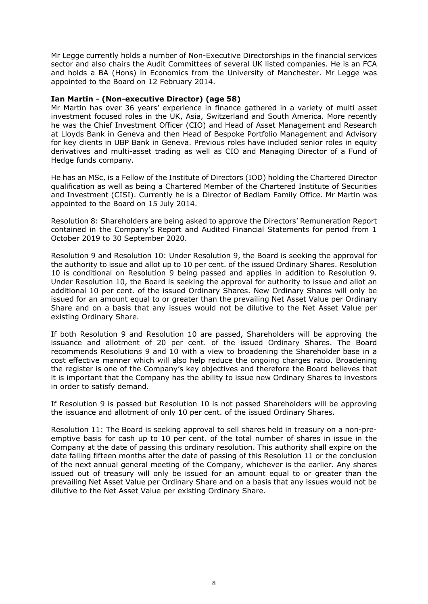Mr Legge currently holds a number of Non-Executive Directorships in the financial services sector and also chairs the Audit Committees of several UK listed companies. He is an FCA and holds a BA (Hons) in Economics from the University of Manchester. Mr Legge was appointed to the Board on 12 February 2014.

#### **Ian Martin - (Non-executive Director) (age 58)**

Mr Martin has over 36 years' experience in finance gathered in a variety of multi asset investment focused roles in the UK, Asia, Switzerland and South America. More recently he was the Chief Investment Officer (CIO) and Head of Asset Management and Research at Lloyds Bank in Geneva and then Head of Bespoke Portfolio Management and Advisory for key clients in UBP Bank in Geneva. Previous roles have included senior roles in equity derivatives and multi-asset trading as well as CIO and Managing Director of a Fund of Hedge funds company.

He has an MSc, is a Fellow of the Institute of Directors (IOD) holding the Chartered Director qualification as well as being a Chartered Member of the Chartered Institute of Securities and Investment (CISI). Currently he is a Director of Bedlam Family Office. Mr Martin was appointed to the Board on 15 July 2014.

Resolution 8: Shareholders are being asked to approve the Directors' Remuneration Report contained in the Company's Report and Audited Financial Statements for period from 1 October 2019 to 30 September 2020.

Resolution 9 and Resolution 10: Under Resolution 9, the Board is seeking the approval for the authority to issue and allot up to 10 per cent. of the issued Ordinary Shares. Resolution 10 is conditional on Resolution 9 being passed and applies in addition to Resolution 9. Under Resolution 10, the Board is seeking the approval for authority to issue and allot an additional 10 per cent. of the issued Ordinary Shares. New Ordinary Shares will only be issued for an amount equal to or greater than the prevailing Net Asset Value per Ordinary Share and on a basis that any issues would not be dilutive to the Net Asset Value per existing Ordinary Share.

If both Resolution 9 and Resolution 10 are passed, Shareholders will be approving the issuance and allotment of 20 per cent. of the issued Ordinary Shares. The Board recommends Resolutions 9 and 10 with a view to broadening the Shareholder base in a cost effective manner which will also help reduce the ongoing charges ratio. Broadening the register is one of the Company's key objectives and therefore the Board believes that it is important that the Company has the ability to issue new Ordinary Shares to investors in order to satisfy demand.

If Resolution 9 is passed but Resolution 10 is not passed Shareholders will be approving the issuance and allotment of only 10 per cent. of the issued Ordinary Shares.

Resolution 11: The Board is seeking approval to sell shares held in treasury on a non-preemptive basis for cash up to 10 per cent. of the total number of shares in issue in the Company at the date of passing this ordinary resolution. This authority shall expire on the date falling fifteen months after the date of passing of this Resolution 11 or the conclusion of the next annual general meeting of the Company, whichever is the earlier. Any shares issued out of treasury will only be issued for an amount equal to or greater than the prevailing Net Asset Value per Ordinary Share and on a basis that any issues would not be dilutive to the Net Asset Value per existing Ordinary Share.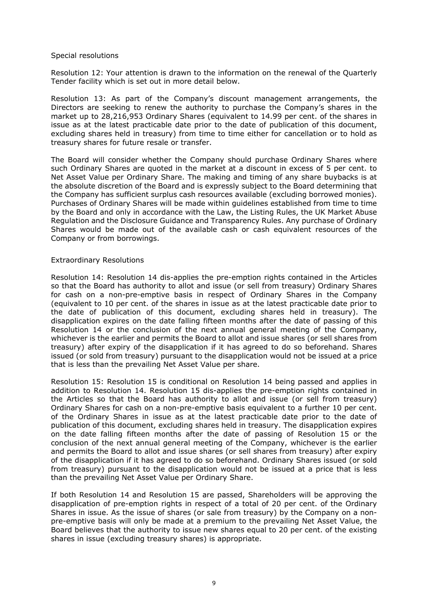#### Special resolutions

Resolution 12: Your attention is drawn to the information on the renewal of the Quarterly Tender facility which is set out in more detail below.

Resolution 13: As part of the Company's discount management arrangements, the Directors are seeking to renew the authority to purchase the Company's shares in the market up to 28,216,953 Ordinary Shares (equivalent to 14.99 per cent. of the shares in issue as at the latest practicable date prior to the date of publication of this document, excluding shares held in treasury) from time to time either for cancellation or to hold as treasury shares for future resale or transfer.

The Board will consider whether the Company should purchase Ordinary Shares where such Ordinary Shares are quoted in the market at a discount in excess of 5 per cent. to Net Asset Value per Ordinary Share. The making and timing of any share buybacks is at the absolute discretion of the Board and is expressly subject to the Board determining that the Company has sufficient surplus cash resources available (excluding borrowed monies). Purchases of Ordinary Shares will be made within guidelines established from time to time by the Board and only in accordance with the Law, the Listing Rules, the UK Market Abuse Regulation and the Disclosure Guidance and Transparency Rules. Any purchase of Ordinary Shares would be made out of the available cash or cash equivalent resources of the Company or from borrowings.

#### Extraordinary Resolutions

Resolution 14: Resolution 14 dis-applies the pre-emption rights contained in the Articles so that the Board has authority to allot and issue (or sell from treasury) Ordinary Shares for cash on a non-pre-emptive basis in respect of Ordinary Shares in the Company (equivalent to 10 per cent. of the shares in issue as at the latest practicable date prior to the date of publication of this document, excluding shares held in treasury). The disapplication expires on the date falling fifteen months after the date of passing of this Resolution 14 or the conclusion of the next annual general meeting of the Company, whichever is the earlier and permits the Board to allot and issue shares (or sell shares from treasury) after expiry of the disapplication if it has agreed to do so beforehand. Shares issued (or sold from treasury) pursuant to the disapplication would not be issued at a price that is less than the prevailing Net Asset Value per share.

Resolution 15: Resolution 15 is conditional on Resolution 14 being passed and applies in addition to Resolution 14. Resolution 15 dis-applies the pre-emption rights contained in the Articles so that the Board has authority to allot and issue (or sell from treasury) Ordinary Shares for cash on a non-pre-emptive basis equivalent to a further 10 per cent. of the Ordinary Shares in issue as at the latest practicable date prior to the date of publication of this document, excluding shares held in treasury. The disapplication expires on the date falling fifteen months after the date of passing of Resolution 15 or the conclusion of the next annual general meeting of the Company, whichever is the earlier and permits the Board to allot and issue shares (or sell shares from treasury) after expiry of the disapplication if it has agreed to do so beforehand. Ordinary Shares issued (or sold from treasury) pursuant to the disapplication would not be issued at a price that is less than the prevailing Net Asset Value per Ordinary Share.

If both Resolution 14 and Resolution 15 are passed, Shareholders will be approving the disapplication of pre-emption rights in respect of a total of 20 per cent. of the Ordinary Shares in issue. As the issue of shares (or sale from treasury) by the Company on a nonpre-emptive basis will only be made at a premium to the prevailing Net Asset Value, the Board believes that the authority to issue new shares equal to 20 per cent. of the existing shares in issue (excluding treasury shares) is appropriate.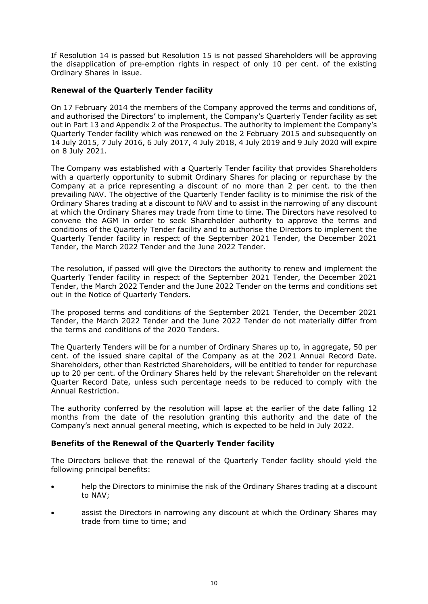If Resolution 14 is passed but Resolution 15 is not passed Shareholders will be approving the disapplication of pre-emption rights in respect of only 10 per cent. of the existing Ordinary Shares in issue.

# **Renewal of the Quarterly Tender facility**

On 17 February 2014 the members of the Company approved the terms and conditions of, and authorised the Directors' to implement, the Company's Quarterly Tender facility as set out in Part 13 and Appendix 2 of the Prospectus. The authority to implement the Company's Quarterly Tender facility which was renewed on the 2 February 2015 and subsequently on 14 July 2015, 7 July 2016, 6 July 2017, 4 July 2018, 4 July 2019 and 9 July 2020 will expire on 8 July 2021.

The Company was established with a Quarterly Tender facility that provides Shareholders with a quarterly opportunity to submit Ordinary Shares for placing or repurchase by the Company at a price representing a discount of no more than 2 per cent. to the then prevailing NAV. The objective of the Quarterly Tender facility is to minimise the risk of the Ordinary Shares trading at a discount to NAV and to assist in the narrowing of any discount at which the Ordinary Shares may trade from time to time. The Directors have resolved to convene the AGM in order to seek Shareholder authority to approve the terms and conditions of the Quarterly Tender facility and to authorise the Directors to implement the Quarterly Tender facility in respect of the September 2021 Tender, the December 2021 Tender, the March 2022 Tender and the June 2022 Tender.

The resolution, if passed will give the Directors the authority to renew and implement the Quarterly Tender facility in respect of the September 2021 Tender, the December 2021 Tender, the March 2022 Tender and the June 2022 Tender on the terms and conditions set out in the Notice of Quarterly Tenders.

The proposed terms and conditions of the September 2021 Tender, the December 2021 Tender, the March 2022 Tender and the June 2022 Tender do not materially differ from the terms and conditions of the 2020 Tenders.

The Quarterly Tenders will be for a number of Ordinary Shares up to, in aggregate, 50 per cent. of the issued share capital of the Company as at the 2021 Annual Record Date. Shareholders, other than Restricted Shareholders, will be entitled to tender for repurchase up to 20 per cent. of the Ordinary Shares held by the relevant Shareholder on the relevant Quarter Record Date, unless such percentage needs to be reduced to comply with the Annual Restriction.

The authority conferred by the resolution will lapse at the earlier of the date falling 12 months from the date of the resolution granting this authority and the date of the Company's next annual general meeting, which is expected to be held in July 2022.

# **Benefits of the Renewal of the Quarterly Tender facility**

The Directors believe that the renewal of the Quarterly Tender facility should yield the following principal benefits:

- help the Directors to minimise the risk of the Ordinary Shares trading at a discount to NAV;
- assist the Directors in narrowing any discount at which the Ordinary Shares may trade from time to time; and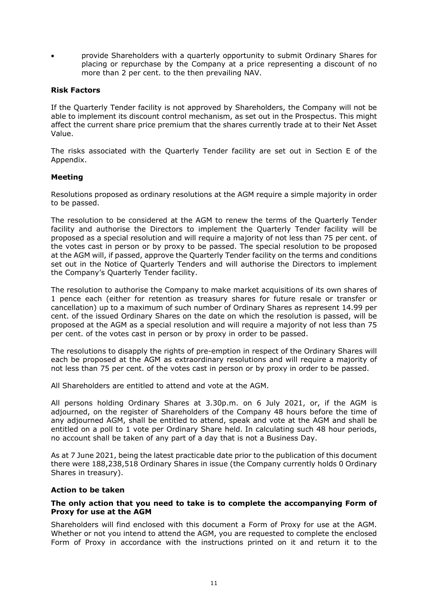• provide Shareholders with a quarterly opportunity to submit Ordinary Shares for placing or repurchase by the Company at a price representing a discount of no more than 2 per cent. to the then prevailing NAV.

# **Risk Factors**

If the Quarterly Tender facility is not approved by Shareholders, the Company will not be able to implement its discount control mechanism, as set out in the Prospectus. This might affect the current share price premium that the shares currently trade at to their Net Asset Value.

The risks associated with the Quarterly Tender facility are set out in Section E of the Appendix.

# **Meeting**

Resolutions proposed as ordinary resolutions at the AGM require a simple majority in order to be passed.

The resolution to be considered at the AGM to renew the terms of the Quarterly Tender facility and authorise the Directors to implement the Quarterly Tender facility will be proposed as a special resolution and will require a majority of not less than 75 per cent. of the votes cast in person or by proxy to be passed. The special resolution to be proposed at the AGM will, if passed, approve the Quarterly Tender facility on the terms and conditions set out in the Notice of Quarterly Tenders and will authorise the Directors to implement the Company's Quarterly Tender facility.

The resolution to authorise the Company to make market acquisitions of its own shares of 1 pence each (either for retention as treasury shares for future resale or transfer or cancellation) up to a maximum of such number of Ordinary Shares as represent 14.99 per cent. of the issued Ordinary Shares on the date on which the resolution is passed, will be proposed at the AGM as a special resolution and will require a majority of not less than 75 per cent. of the votes cast in person or by proxy in order to be passed.

The resolutions to disapply the rights of pre-emption in respect of the Ordinary Shares will each be proposed at the AGM as extraordinary resolutions and will require a majority of not less than 75 per cent. of the votes cast in person or by proxy in order to be passed.

All Shareholders are entitled to attend and vote at the AGM.

All persons holding Ordinary Shares at 3.30p.m. on 6 July 2021, or, if the AGM is adjourned, on the register of Shareholders of the Company 48 hours before the time of any adjourned AGM, shall be entitled to attend, speak and vote at the AGM and shall be entitled on a poll to 1 vote per Ordinary Share held. In calculating such 48 hour periods, no account shall be taken of any part of a day that is not a Business Day.

As at 7 June 2021, being the latest practicable date prior to the publication of this document there were 188,238,518 Ordinary Shares in issue (the Company currently holds 0 Ordinary Shares in treasury).

## **Action to be taken**

## **The only action that you need to take is to complete the accompanying Form of Proxy for use at the AGM**

Shareholders will find enclosed with this document a Form of Proxy for use at the AGM. Whether or not you intend to attend the AGM, you are requested to complete the enclosed Form of Proxy in accordance with the instructions printed on it and return it to the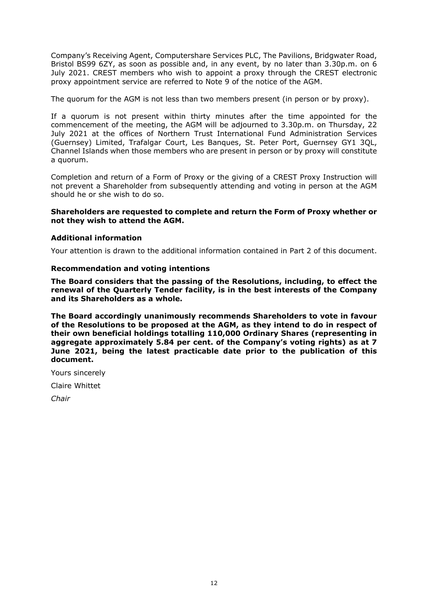Company's Receiving Agent, Computershare Services PLC, The Pavilions, Bridgwater Road, Bristol BS99 6ZY, as soon as possible and, in any event, by no later than 3.30p.m. on 6 July 2021. CREST members who wish to appoint a proxy through the CREST electronic proxy appointment service are referred to Note 9 of the notice of the AGM.

The quorum for the AGM is not less than two members present (in person or by proxy).

If a quorum is not present within thirty minutes after the time appointed for the commencement of the meeting, the AGM will be adjourned to 3.30p.m. on Thursday, 22 July 2021 at the offices of Northern Trust International Fund Administration Services (Guernsey) Limited, Trafalgar Court, Les Banques, St. Peter Port, Guernsey GY1 3QL, Channel Islands when those members who are present in person or by proxy will constitute a quorum.

Completion and return of a Form of Proxy or the giving of a CREST Proxy Instruction will not prevent a Shareholder from subsequently attending and voting in person at the AGM should he or she wish to do so.

## **Shareholders are requested to complete and return the Form of Proxy whether or not they wish to attend the AGM.**

# **Additional information**

Your attention is drawn to the additional information contained in Part 2 of this document.

## **Recommendation and voting intentions**

**The Board considers that the passing of the Resolutions, including, to effect the renewal of the Quarterly Tender facility, is in the best interests of the Company and its Shareholders as a whole.** 

**The Board accordingly unanimously recommends Shareholders to vote in favour of the Resolutions to be proposed at the AGM, as they intend to do in respect of their own beneficial holdings totalling 110,000 Ordinary Shares (representing in aggregate approximately 5.84 per cent. of the Company's voting rights) as at 7 June 2021, being the latest practicable date prior to the publication of this document.**

Yours sincerely

Claire Whittet

*Chair*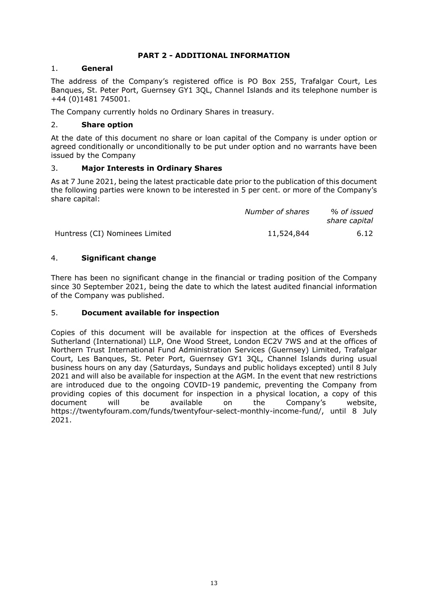# **PART 2 - ADDITIONAL INFORMATION**

# 1. **General**

The address of the Company's registered office is PO Box 255, Trafalgar Court, Les Banques, St. Peter Port, Guernsey GY1 3QL, Channel Islands and its telephone number is +44 (0)1481 745001.

The Company currently holds no Ordinary Shares in treasury.

# 2. **Share option**

At the date of this document no share or loan capital of the Company is under option or agreed conditionally or unconditionally to be put under option and no warrants have been issued by the Company

# 3. **Major Interests in Ordinary Shares**

As at 7 June 2021, being the latest practicable date prior to the publication of this document the following parties were known to be interested in 5 per cent. or more of the Company's share capital:

|                                | Number of shares | % of issued<br>share capital |
|--------------------------------|------------------|------------------------------|
| Huntress (CI) Nominees Limited | 11,524,844       | 6.12                         |

# 4. **Significant change**

There has been no significant change in the financial or trading position of the Company since 30 September 2021, being the date to which the latest audited financial information of the Company was published.

# 5. **Document available for inspection**

Copies of this document will be available for inspection at the offices of Eversheds Sutherland (International) LLP, One Wood Street, London EC2V 7WS and at the offices of Northern Trust International Fund Administration Services (Guernsey) Limited, Trafalgar Court, Les Banques, St. Peter Port, Guernsey GY1 3QL, Channel Islands during usual business hours on any day (Saturdays, Sundays and public holidays excepted) until 8 July 2021 and will also be available for inspection at the AGM. In the event that new restrictions are introduced due to the ongoing COVID-19 pandemic, preventing the Company from providing copies of this document for inspection in a physical location, a copy of this document will be available on the Company's website, [https://twentyfouram.com/funds/twentyfour-select-monthly-income-fund/,](https://twentyfouram.com/funds/twentyfour-select-monthly-income-fund/) until 8 July 2021.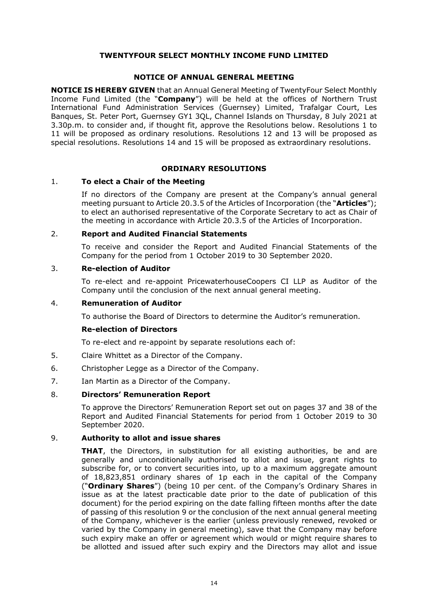# **TWENTYFOUR SELECT MONTHLY INCOME FUND LIMITED**

#### **NOTICE OF ANNUAL GENERAL MEETING**

**NOTICE IS HEREBY GIVEN** that an Annual General Meeting of TwentyFour Select Monthly Income Fund Limited (the "**Company**") will be held at the offices of Northern Trust International Fund Administration Services (Guernsey) Limited, Trafalgar Court, Les Banques, St. Peter Port, Guernsey GY1 3QL, Channel Islands on Thursday, 8 July 2021 at 3.30p.m. to consider and, if thought fit, approve the Resolutions below. Resolutions 1 to 11 will be proposed as ordinary resolutions. Resolutions 12 and 13 will be proposed as special resolutions. Resolutions 14 and 15 will be proposed as extraordinary resolutions.

## **ORDINARY RESOLUTIONS**

#### 1. **To elect a Chair of the Meeting**

If no directors of the Company are present at the Company's annual general meeting pursuant to Article 20.3.5 of the Articles of Incorporation (the "**Articles**"); to elect an authorised representative of the Corporate Secretary to act as Chair of the meeting in accordance with Article 20.3.5 of the Articles of Incorporation.

#### 2. **Report and Audited Financial Statements**

To receive and consider the Report and Audited Financial Statements of the Company for the period from 1 October 2019 to 30 September 2020.

#### 3. **Re-election of Auditor**

To re-elect and re-appoint PricewaterhouseCoopers CI LLP as Auditor of the Company until the conclusion of the next annual general meeting.

#### 4. **Remuneration of Auditor**

To authorise the Board of Directors to determine the Auditor's remuneration.

#### **Re-election of Directors**

To re-elect and re-appoint by separate resolutions each of:

- 5. Claire Whittet as a Director of the Company.
- 6. Christopher Legge as a Director of the Company.
- 7. Ian Martin as a Director of the Company.

## 8. **Directors' Remuneration Report**

To approve the Directors' Remuneration Report set out on pages 37 and 38 of the Report and Audited Financial Statements for period from 1 October 2019 to 30 September 2020.

## 9. **Authority to allot and issue shares**

**THAT**, the Directors, in substitution for all existing authorities, be and are generally and unconditionally authorised to allot and issue, grant rights to subscribe for, or to convert securities into, up to a maximum aggregate amount of 18,823,851 ordinary shares of 1p each in the capital of the Company ("**Ordinary Shares**") (being 10 per cent. of the Company's Ordinary Shares in issue as at the latest practicable date prior to the date of publication of this document) for the period expiring on the date falling fifteen months after the date of passing of this resolution 9 or the conclusion of the next annual general meeting of the Company, whichever is the earlier (unless previously renewed, revoked or varied by the Company in general meeting), save that the Company may before such expiry make an offer or agreement which would or might require shares to be allotted and issued after such expiry and the Directors may allot and issue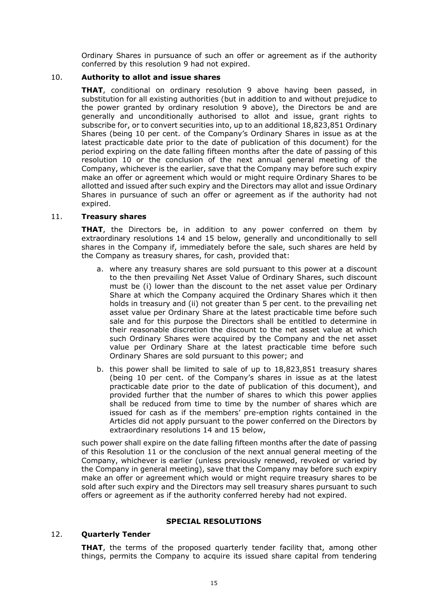Ordinary Shares in pursuance of such an offer or agreement as if the authority conferred by this resolution 9 had not expired.

## 10. **Authority to allot and issue shares**

**THAT**, conditional on ordinary resolution 9 above having been passed, in substitution for all existing authorities (but in addition to and without prejudice to the power granted by ordinary resolution 9 above), the Directors be and are generally and unconditionally authorised to allot and issue, grant rights to subscribe for, or to convert securities into, up to an additional 18,823,851 Ordinary Shares (being 10 per cent. of the Company's Ordinary Shares in issue as at the latest practicable date prior to the date of publication of this document) for the period expiring on the date falling fifteen months after the date of passing of this resolution 10 or the conclusion of the next annual general meeting of the Company, whichever is the earlier, save that the Company may before such expiry make an offer or agreement which would or might require Ordinary Shares to be allotted and issued after such expiry and the Directors may allot and issue Ordinary Shares in pursuance of such an offer or agreement as if the authority had not expired.

## 11. **Treasury shares**

**THAT**, the Directors be, in addition to any power conferred on them by extraordinary resolutions 14 and 15 below, generally and unconditionally to sell shares in the Company if, immediately before the sale, such shares are held by the Company as treasury shares, for cash, provided that:

- a. where any treasury shares are sold pursuant to this power at a discount to the then prevailing Net Asset Value of Ordinary Shares, such discount must be (i) lower than the discount to the net asset value per Ordinary Share at which the Company acquired the Ordinary Shares which it then holds in treasury and (ii) not greater than 5 per cent. to the prevailing net asset value per Ordinary Share at the latest practicable time before such sale and for this purpose the Directors shall be entitled to determine in their reasonable discretion the discount to the net asset value at which such Ordinary Shares were acquired by the Company and the net asset value per Ordinary Share at the latest practicable time before such Ordinary Shares are sold pursuant to this power; and
- b. this power shall be limited to sale of up to 18,823,851 treasury shares (being 10 per cent. of the Company's shares in issue as at the latest practicable date prior to the date of publication of this document), and provided further that the number of shares to which this power applies shall be reduced from time to time by the number of shares which are issued for cash as if the members' pre-emption rights contained in the Articles did not apply pursuant to the power conferred on the Directors by extraordinary resolutions 14 and 15 below,

such power shall expire on the date falling fifteen months after the date of passing of this Resolution 11 or the conclusion of the next annual general meeting of the Company, whichever is earlier (unless previously renewed, revoked or varied by the Company in general meeting), save that the Company may before such expiry make an offer or agreement which would or might require treasury shares to be sold after such expiry and the Directors may sell treasury shares pursuant to such offers or agreement as if the authority conferred hereby had not expired.

## **SPECIAL RESOLUTIONS**

## 12. **Quarterly Tender**

**THAT**, the terms of the proposed quarterly tender facility that, among other things, permits the Company to acquire its issued share capital from tendering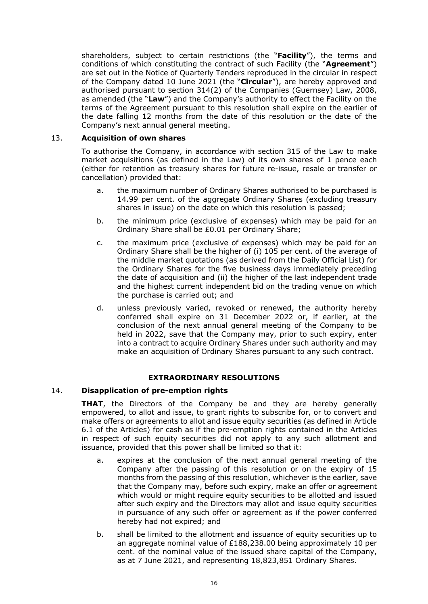shareholders, subject to certain restrictions (the "**Facility**"), the terms and conditions of which constituting the contract of such Facility (the "**Agreement**") are set out in the Notice of Quarterly Tenders reproduced in the circular in respect of the Company dated 10 June 2021 (the "**Circular**"), are hereby approved and authorised pursuant to section 314(2) of the Companies (Guernsey) Law, 2008, as amended (the "**Law**") and the Company's authority to effect the Facility on the terms of the Agreement pursuant to this resolution shall expire on the earlier of the date falling 12 months from the date of this resolution or the date of the Company's next annual general meeting.

## 13. **Acquisition of own shares**

To authorise the Company, in accordance with section 315 of the Law to make market acquisitions (as defined in the Law) of its own shares of 1 pence each (either for retention as treasury shares for future re-issue, resale or transfer or cancellation) provided that:

- a. the maximum number of Ordinary Shares authorised to be purchased is 14.99 per cent. of the aggregate Ordinary Shares (excluding treasury shares in issue) on the date on which this resolution is passed;
- b. the minimum price (exclusive of expenses) which may be paid for an Ordinary Share shall be £0.01 per Ordinary Share;
- c. the maximum price (exclusive of expenses) which may be paid for an Ordinary Share shall be the higher of (i) 105 per cent. of the average of the middle market quotations (as derived from the Daily Official List) for the Ordinary Shares for the five business days immediately preceding the date of acquisition and (ii) the higher of the last independent trade and the highest current independent bid on the trading venue on which the purchase is carried out; and
- d. unless previously varied, revoked or renewed, the authority hereby conferred shall expire on 31 December 2022 or, if earlier, at the conclusion of the next annual general meeting of the Company to be held in 2022, save that the Company may, prior to such expiry, enter into a contract to acquire Ordinary Shares under such authority and may make an acquisition of Ordinary Shares pursuant to any such contract.

## **EXTRAORDINARY RESOLUTIONS**

## 14. **Disapplication of pre-emption rights**

**THAT**, the Directors of the Company be and they are hereby generally empowered, to allot and issue, to grant rights to subscribe for, or to convert and make offers or agreements to allot and issue equity securities (as defined in Article 6.1 of the Articles) for cash as if the pre-emption rights contained in the Articles in respect of such equity securities did not apply to any such allotment and issuance, provided that this power shall be limited so that it:

- a. expires at the conclusion of the next annual general meeting of the Company after the passing of this resolution or on the expiry of 15 months from the passing of this resolution, whichever is the earlier, save that the Company may, before such expiry, make an offer or agreement which would or might require equity securities to be allotted and issued after such expiry and the Directors may allot and issue equity securities in pursuance of any such offer or agreement as if the power conferred hereby had not expired; and
- b. shall be limited to the allotment and issuance of equity securities up to an aggregate nominal value of £188,238.00 being approximately 10 per cent. of the nominal value of the issued share capital of the Company, as at 7 June 2021, and representing 18,823,851 Ordinary Shares.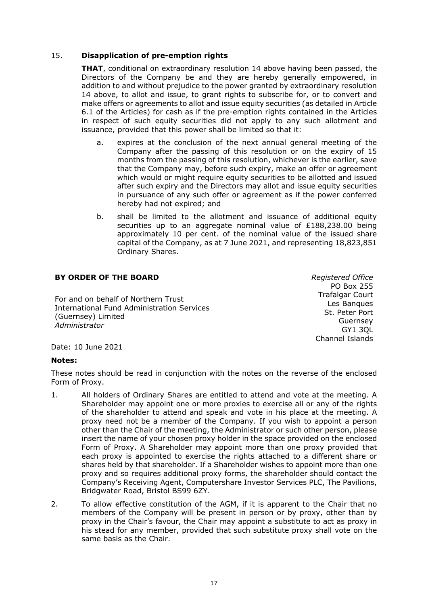# 15. **Disapplication of pre-emption rights**

**THAT**, conditional on extraordinary resolution 14 above having been passed, the Directors of the Company be and they are hereby generally empowered, in addition to and without prejudice to the power granted by extraordinary resolution 14 above, to allot and issue, to grant rights to subscribe for, or to convert and make offers or agreements to allot and issue equity securities (as detailed in Article 6.1 of the Articles) for cash as if the pre-emption rights contained in the Articles in respect of such equity securities did not apply to any such allotment and issuance, provided that this power shall be limited so that it:

- a. expires at the conclusion of the next annual general meeting of the Company after the passing of this resolution or on the expiry of 15 months from the passing of this resolution, whichever is the earlier, save that the Company may, before such expiry, make an offer or agreement which would or might require equity securities to be allotted and issued after such expiry and the Directors may allot and issue equity securities in pursuance of any such offer or agreement as if the power conferred hereby had not expired; and
- b. shall be limited to the allotment and issuance of additional equity securities up to an aggregate nominal value of  $£188,238.00$  being approximately 10 per cent. of the nominal value of the issued share capital of the Company, as at 7 June 2021, and representing 18,823,851 Ordinary Shares.

# **BY ORDER OF THE BOARD**

For and on behalf of Northern Trust International Fund Administration Services (Guernsey) Limited *Administrator*

*Registered Office* PO Box 255 Trafalgar Court Les Banques St. Peter Port Guernsey GY1 3QL Channel Islands

Date: 10 June 2021

## **Notes:**

These notes should be read in conjunction with the notes on the reverse of the enclosed Form of Proxy.

- 1. All holders of Ordinary Shares are entitled to attend and vote at the meeting. A Shareholder may appoint one or more proxies to exercise all or any of the rights of the shareholder to attend and speak and vote in his place at the meeting. A proxy need not be a member of the Company. If you wish to appoint a person other than the Chair of the meeting, the Administrator or such other person, please insert the name of your chosen proxy holder in the space provided on the enclosed Form of Proxy. A Shareholder may appoint more than one proxy provided that each proxy is appointed to exercise the rights attached to a different share or shares held by that shareholder. If a Shareholder wishes to appoint more than one proxy and so requires additional proxy forms, the shareholder should contact the Company's Receiving Agent, Computershare Investor Services PLC, The Pavilions, Bridgwater Road, Bristol BS99 6ZY.
- 2. To allow effective constitution of the AGM, if it is apparent to the Chair that no members of the Company will be present in person or by proxy, other than by proxy in the Chair's favour, the Chair may appoint a substitute to act as proxy in his stead for any member, provided that such substitute proxy shall vote on the same basis as the Chair.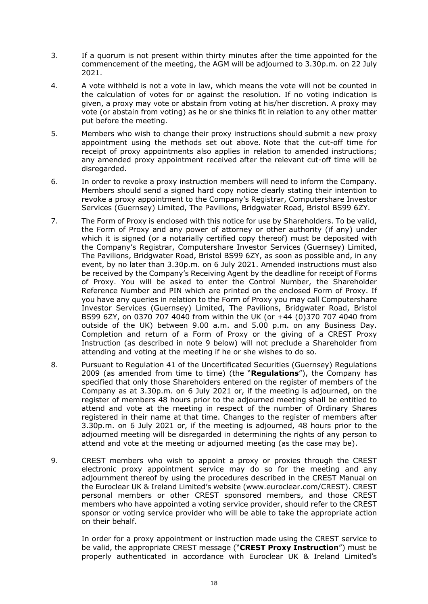- 3. If a quorum is not present within thirty minutes after the time appointed for the commencement of the meeting, the AGM will be adjourned to 3.30p.m. on 22 July 2021.
- 4. A vote withheld is not a vote in law, which means the vote will not be counted in the calculation of votes for or against the resolution. If no voting indication is given, a proxy may vote or abstain from voting at his/her discretion. A proxy may vote (or abstain from voting) as he or she thinks fit in relation to any other matter put before the meeting.
- 5. Members who wish to change their proxy instructions should submit a new proxy appointment using the methods set out above. Note that the cut-off time for receipt of proxy appointments also applies in relation to amended instructions; any amended proxy appointment received after the relevant cut-off time will be disregarded.
- 6. In order to revoke a proxy instruction members will need to inform the Company. Members should send a signed hard copy notice clearly stating their intention to revoke a proxy appointment to the Company's Registrar, Computershare Investor Services (Guernsey) Limited, The Pavilions, Bridgwater Road, Bristol BS99 6ZY.
- 7. The Form of Proxy is enclosed with this notice for use by Shareholders. To be valid, the Form of Proxy and any power of attorney or other authority (if any) under which it is signed (or a notarially certified copy thereof) must be deposited with the Company's Registrar, Computershare Investor Services (Guernsey) Limited, The Pavilions, Bridgwater Road, Bristol BS99 6ZY, as soon as possible and, in any event, by no later than 3.30p.m. on 6 July 2021. Amended instructions must also be received by the Company's Receiving Agent by the deadline for receipt of Forms of Proxy. You will be asked to enter the Control Number, the Shareholder Reference Number and PIN which are printed on the enclosed Form of Proxy. If you have any queries in relation to the Form of Proxy you may call Computershare Investor Services (Guernsey) Limited, The Pavilions, Bridgwater Road, Bristol BS99 6ZY, on 0370 707 4040 from within the UK (or +44 (0)370 707 4040 from outside of the UK) between 9.00 a.m. and 5.00 p.m. on any Business Day. Completion and return of a Form of Proxy or the giving of a CREST Proxy Instruction (as described in note 9 below) will not preclude a Shareholder from attending and voting at the meeting if he or she wishes to do so.
- 8. Pursuant to Regulation 41 of the Uncertificated Securities (Guernsey) Regulations 2009 (as amended from time to time) (the "**Regulations**"), the Company has specified that only those Shareholders entered on the register of members of the Company as at 3.30p.m. on 6 July 2021 or, if the meeting is adjourned, on the register of members 48 hours prior to the adjourned meeting shall be entitled to attend and vote at the meeting in respect of the number of Ordinary Shares registered in their name at that time. Changes to the register of members after 3.30p.m. on 6 July 2021 or, if the meeting is adjourned, 48 hours prior to the adjourned meeting will be disregarded in determining the rights of any person to attend and vote at the meeting or adjourned meeting (as the case may be).
- 9. CREST members who wish to appoint a proxy or proxies through the CREST electronic proxy appointment service may do so for the meeting and any adjournment thereof by using the procedures described in the CREST Manual on the Euroclear UK & Ireland Limited's website (www.euroclear.com/CREST). CREST personal members or other CREST sponsored members, and those CREST members who have appointed a voting service provider, should refer to the CREST sponsor or voting service provider who will be able to take the appropriate action on their behalf.

In order for a proxy appointment or instruction made using the CREST service to be valid, the appropriate CREST message ("**CREST Proxy Instruction**") must be properly authenticated in accordance with Euroclear UK & Ireland Limited's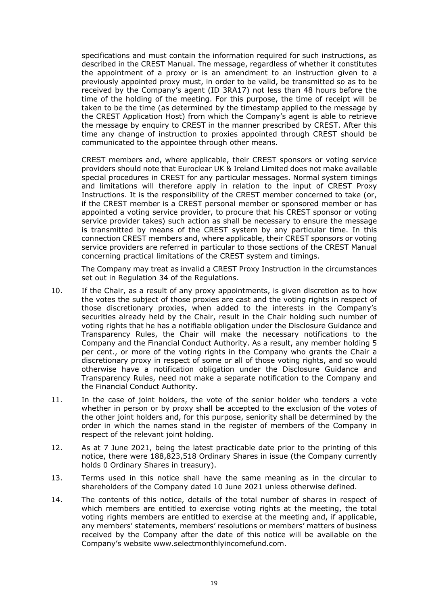specifications and must contain the information required for such instructions, as described in the CREST Manual. The message, regardless of whether it constitutes the appointment of a proxy or is an amendment to an instruction given to a previously appointed proxy must, in order to be valid, be transmitted so as to be received by the Company's agent (ID 3RA17) not less than 48 hours before the time of the holding of the meeting. For this purpose, the time of receipt will be taken to be the time (as determined by the timestamp applied to the message by the CREST Application Host) from which the Company's agent is able to retrieve the message by enquiry to CREST in the manner prescribed by CREST. After this time any change of instruction to proxies appointed through CREST should be communicated to the appointee through other means.

CREST members and, where applicable, their CREST sponsors or voting service providers should note that Euroclear UK & Ireland Limited does not make available special procedures in CREST for any particular messages. Normal system timings and limitations will therefore apply in relation to the input of CREST Proxy Instructions. It is the responsibility of the CREST member concerned to take (or, if the CREST member is a CREST personal member or sponsored member or has appointed a voting service provider, to procure that his CREST sponsor or voting service provider takes) such action as shall be necessary to ensure the message is transmitted by means of the CREST system by any particular time. In this connection CREST members and, where applicable, their CREST sponsors or voting service providers are referred in particular to those sections of the CREST Manual concerning practical limitations of the CREST system and timings.

The Company may treat as invalid a CREST Proxy Instruction in the circumstances set out in Regulation 34 of the Regulations.

- 10. If the Chair, as a result of any proxy appointments, is given discretion as to how the votes the subject of those proxies are cast and the voting rights in respect of those discretionary proxies, when added to the interests in the Company's securities already held by the Chair, result in the Chair holding such number of voting rights that he has a notifiable obligation under the Disclosure Guidance and Transparency Rules, the Chair will make the necessary notifications to the Company and the Financial Conduct Authority. As a result, any member holding 5 per cent., or more of the voting rights in the Company who grants the Chair a discretionary proxy in respect of some or all of those voting rights, and so would otherwise have a notification obligation under the Disclosure Guidance and Transparency Rules, need not make a separate notification to the Company and the Financial Conduct Authority.
- 11. In the case of joint holders, the vote of the senior holder who tenders a vote whether in person or by proxy shall be accepted to the exclusion of the votes of the other joint holders and, for this purpose, seniority shall be determined by the order in which the names stand in the register of members of the Company in respect of the relevant joint holding.
- 12. As at 7 June 2021, being the latest practicable date prior to the printing of this notice, there were 188,823,518 Ordinary Shares in issue (the Company currently holds 0 Ordinary Shares in treasury).
- 13. Terms used in this notice shall have the same meaning as in the circular to shareholders of the Company dated 10 June 2021 unless otherwise defined.
- 14. The contents of this notice, details of the total number of shares in respect of which members are entitled to exercise voting rights at the meeting, the total voting rights members are entitled to exercise at the meeting and, if applicable, any members' statements, members' resolutions or members' matters of business received by the Company after the date of this notice will be available on the Company's website www.selectmonthlyincomefund.com.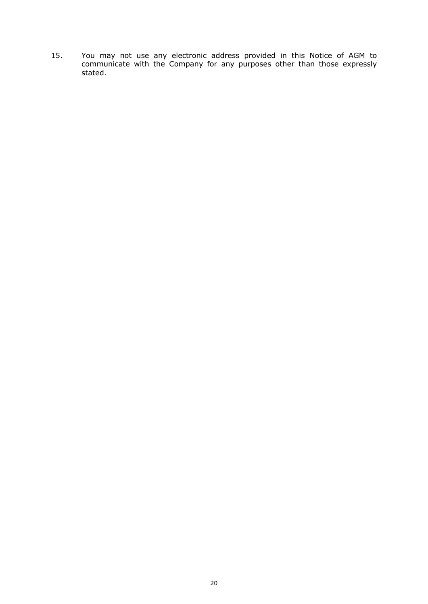15. You may not use any electronic address provided in this Notice of AGM to communicate with the Company for any purposes other than those expressly stated.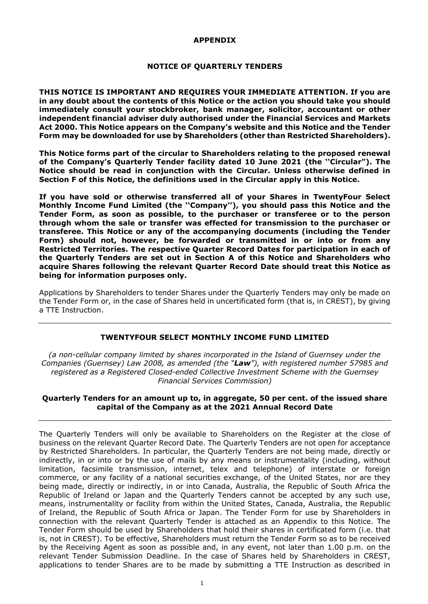## **APPENDIX**

#### **NOTICE OF QUARTERLY TENDERS**

**THIS NOTICE IS IMPORTANT AND REQUIRES YOUR IMMEDIATE ATTENTION. If you are in any doubt about the contents of this Notice or the action you should take you should immediately consult your stockbroker, bank manager, solicitor, accountant or other independent financial adviser duly authorised under the Financial Services and Markets Act 2000. This Notice appears on the Company's website and this Notice and the Tender Form may be downloaded for use by Shareholders (other than Restricted Shareholders).** 

**This Notice forms part of the circular to Shareholders relating to the proposed renewal of the Company's Quarterly Tender facility dated 10 June 2021 (the ''Circular"). The Notice should be read in conjunction with the Circular. Unless otherwise defined in Section F of this Notice, the definitions used in the Circular apply in this Notice.** 

**If you have sold or otherwise transferred all of your Shares in TwentyFour Select Monthly Income Fund Limited (the ''Company''), you should pass this Notice and the Tender Form, as soon as possible, to the purchaser or transferee or to the person through whom the sale or transfer was effected for transmission to the purchaser or transferee. This Notice or any of the accompanying documents (including the Tender Form) should not, however, be forwarded or transmitted in or into or from any Restricted Territories. The respective Quarter Record Dates for participation in each of the Quarterly Tenders are set out in Section A of this Notice and Shareholders who acquire Shares following the relevant Quarter Record Date should treat this Notice as being for information purposes only.** 

Applications by Shareholders to tender Shares under the Quarterly Tenders may only be made on the Tender Form or, in the case of Shares held in uncertificated form (that is, in CREST), by giving a TTE Instruction.

## **TWENTYFOUR SELECT MONTHLY INCOME FUND LIMITED**

*(a non-cellular company limited by shares incorporated in the Island of Guernsey under the Companies (Guernsey) Law 2008, as amended (the "Law"), with registered number 57985 and registered as a Registered Closed-ended Collective Investment Scheme with the Guernsey Financial Services Commission)*

## **Quarterly Tenders for an amount up to, in aggregate, 50 per cent. of the issued share capital of the Company as at the 2021 Annual Record Date**

The Quarterly Tenders will only be available to Shareholders on the Register at the close of business on the relevant Quarter Record Date. The Quarterly Tenders are not open for acceptance by Restricted Shareholders. In particular, the Quarterly Tenders are not being made, directly or indirectly, in or into or by the use of mails by any means or instrumentality (including, without limitation, facsimile transmission, internet, telex and telephone) of interstate or foreign commerce, or any facility of a national securities exchange, of the United States, nor are they being made, directly or indirectly, in or into Canada, Australia, the Republic of South Africa the Republic of Ireland or Japan and the Quarterly Tenders cannot be accepted by any such use, means, instrumentality or facility from within the United States, Canada, Australia, the Republic of Ireland, the Republic of South Africa or Japan. The Tender Form for use by Shareholders in connection with the relevant Quarterly Tender is attached as an Appendix to this Notice. The Tender Form should be used by Shareholders that hold their shares in certificated form (i.e. that is, not in CREST). To be effective, Shareholders must return the Tender Form so as to be received by the Receiving Agent as soon as possible and, in any event, not later than 1.00 p.m. on the relevant Tender Submission Deadline. In the case of Shares held by Shareholders in CREST, applications to tender Shares are to be made by submitting a TTE Instruction as described in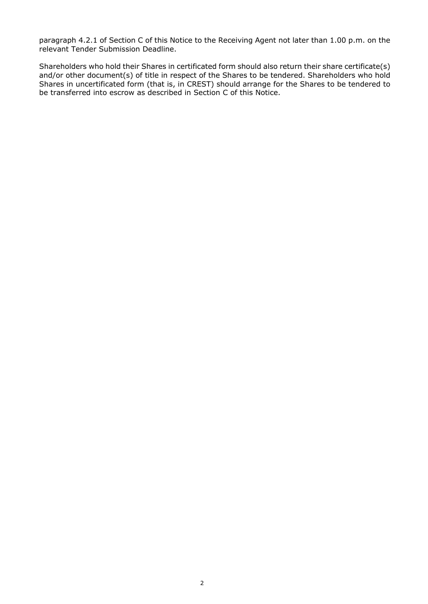paragraph 4.2.1 of Section C of this Notice to the Receiving Agent not later than 1.00 p.m. on the relevant Tender Submission Deadline.

Shareholders who hold their Shares in certificated form should also return their share certificate(s) and/or other document(s) of title in respect of the Shares to be tendered. Shareholders who hold Shares in uncertificated form (that is, in CREST) should arrange for the Shares to be tendered to be transferred into escrow as described in Section C of this Notice.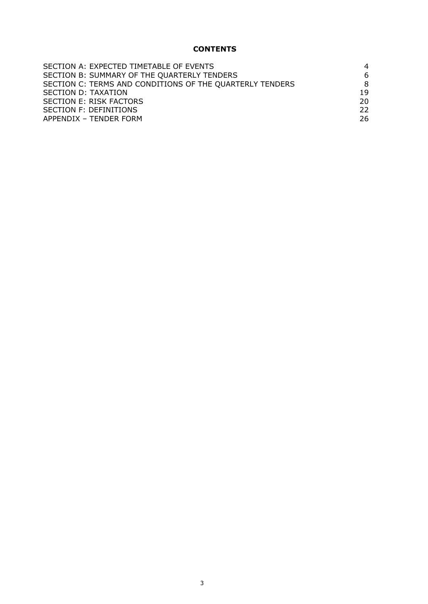# **CONTENTS**

| SECTION A: EXPECTED TIMETABLE OF EVENTS                  | 4   |
|----------------------------------------------------------|-----|
|                                                          |     |
| SECTION B: SUMMARY OF THE QUARTERLY TENDERS              | 6   |
| SECTION C: TERMS AND CONDITIONS OF THE QUARTERLY TENDERS | 8   |
| SECTION D: TAXATION                                      | 19  |
| SECTION E: RISK FACTORS                                  | 20. |
| SECTION F: DEFINITIONS                                   | 22. |
| APPENDIX - TENDER FORM                                   | 26  |
|                                                          |     |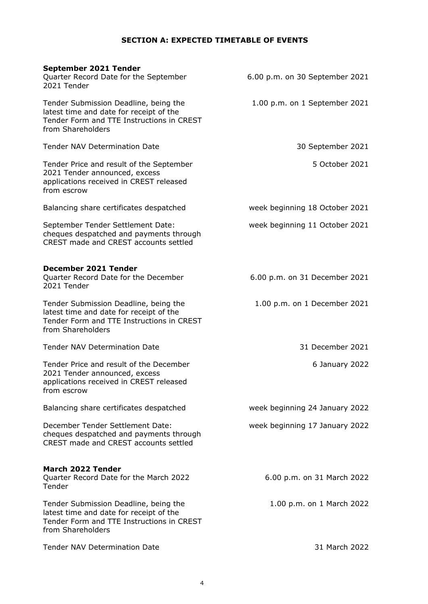# **SECTION A: EXPECTED TIMETABLE OF EVENTS**

| September 2021 Tender<br>Quarter Record Date for the September<br>2021 Tender                                                                      | 6.00 p.m. on 30 September 2021 |
|----------------------------------------------------------------------------------------------------------------------------------------------------|--------------------------------|
| Tender Submission Deadline, being the<br>latest time and date for receipt of the<br>Tender Form and TTE Instructions in CREST<br>from Shareholders | 1.00 p.m. on 1 September 2021  |
| <b>Tender NAV Determination Date</b>                                                                                                               | 30 September 2021              |
| Tender Price and result of the September<br>2021 Tender announced, excess<br>applications received in CREST released<br>from escrow                | 5 October 2021                 |
| Balancing share certificates despatched                                                                                                            | week beginning 18 October 2021 |
| September Tender Settlement Date:<br>cheques despatched and payments through<br>CREST made and CREST accounts settled                              | week beginning 11 October 2021 |
| December 2021 Tender<br>Quarter Record Date for the December<br>2021 Tender                                                                        | 6.00 p.m. on 31 December 2021  |
| Tender Submission Deadline, being the<br>latest time and date for receipt of the<br>Tender Form and TTE Instructions in CREST<br>from Shareholders | 1.00 p.m. on 1 December 2021   |
| <b>Tender NAV Determination Date</b>                                                                                                               | 31 December 2021               |
| Tender Price and result of the December<br>2021 Tender announced, excess<br>applications received in CREST released<br>from escrow                 | 6 January 2022                 |
| Balancing share certificates despatched                                                                                                            | week beginning 24 January 2022 |
| December Tender Settlement Date:<br>cheques despatched and payments through<br>CREST made and CREST accounts settled                               | week beginning 17 January 2022 |
| <b>March 2022 Tender</b><br>Quarter Record Date for the March 2022<br>Tender                                                                       | 6.00 p.m. on 31 March 2022     |
| Tender Submission Deadline, being the<br>latest time and date for receipt of the<br>Tender Form and TTE Instructions in CREST<br>from Shareholders | 1.00 p.m. on 1 March 2022      |
| <b>Tender NAV Determination Date</b>                                                                                                               | 31 March 2022                  |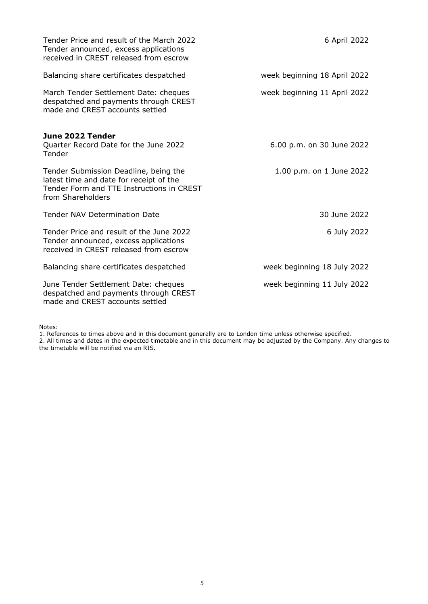| Tender Price and result of the March 2022<br>Tender announced, excess applications<br>received in CREST released from escrow                       | 6 April 2022                 |
|----------------------------------------------------------------------------------------------------------------------------------------------------|------------------------------|
| Balancing share certificates despatched                                                                                                            | week beginning 18 April 2022 |
| March Tender Settlement Date: cheques<br>despatched and payments through CREST<br>made and CREST accounts settled                                  | week beginning 11 April 2022 |
| June 2022 Tender<br>Quarter Record Date for the June 2022<br>Tender                                                                                | 6.00 p.m. on 30 June 2022    |
| Tender Submission Deadline, being the<br>latest time and date for receipt of the<br>Tender Form and TTE Instructions in CREST<br>from Shareholders | 1.00 p.m. on 1 June 2022     |
| <b>Tender NAV Determination Date</b>                                                                                                               | 30 June 2022                 |
| Tender Price and result of the June 2022<br>Tender announced, excess applications<br>received in CREST released from escrow                        | 6 July 2022                  |
| Balancing share certificates despatched                                                                                                            | week beginning 18 July 2022  |
| June Tender Settlement Date: cheques<br>despatched and payments through CREST<br>made and CREST accounts settled                                   | week beginning 11 July 2022  |

Notes:

1. References to times above and in this document generally are to London time unless otherwise specified.

2. All times and dates in the expected timetable and in this document may be adjusted by the Company. Any changes to the timetable will be notified via an RIS.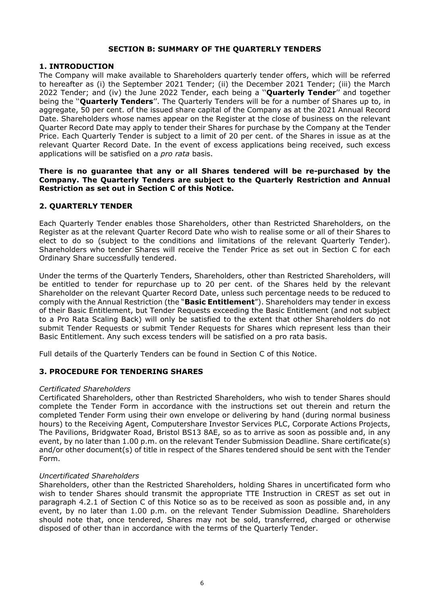#### **SECTION B: SUMMARY OF THE QUARTERLY TENDERS**

#### **1. INTRODUCTION**

The Company will make available to Shareholders quarterly tender offers, which will be referred to hereafter as (i) the September 2021 Tender; (ii) the December 2021 Tender; (iii) the March 2022 Tender; and (iv) the June 2022 Tender, each being a ''**Quarterly Tender**'' and together being the ''**Quarterly Tenders**''. The Quarterly Tenders will be for a number of Shares up to, in aggregate, 50 per cent. of the issued share capital of the Company as at the 2021 Annual Record Date. Shareholders whose names appear on the Register at the close of business on the relevant Quarter Record Date may apply to tender their Shares for purchase by the Company at the Tender Price. Each Quarterly Tender is subject to a limit of 20 per cent. of the Shares in issue as at the relevant Quarter Record Date. In the event of excess applications being received, such excess applications will be satisfied on a *pro rata* basis.

#### **There is no guarantee that any or all Shares tendered will be re-purchased by the Company. The Quarterly Tenders are subject to the Quarterly Restriction and Annual Restriction as set out in Section C of this Notice.**

#### **2. QUARTERLY TENDER**

Each Quarterly Tender enables those Shareholders, other than Restricted Shareholders, on the Register as at the relevant Quarter Record Date who wish to realise some or all of their Shares to elect to do so (subject to the conditions and limitations of the relevant Quarterly Tender). Shareholders who tender Shares will receive the Tender Price as set out in Section C for each Ordinary Share successfully tendered.

Under the terms of the Quarterly Tenders, Shareholders, other than Restricted Shareholders, will be entitled to tender for repurchase up to 20 per cent. of the Shares held by the relevant Shareholder on the relevant Quarter Record Date, unless such percentage needs to be reduced to comply with the Annual Restriction (the "**Basic Entitlement**"). Shareholders may tender in excess of their Basic Entitlement, but Tender Requests exceeding the Basic Entitlement (and not subject to a Pro Rata Scaling Back) will only be satisfied to the extent that other Shareholders do not submit Tender Requests or submit Tender Requests for Shares which represent less than their Basic Entitlement. Any such excess tenders will be satisfied on a pro rata basis.

Full details of the Quarterly Tenders can be found in Section C of this Notice.

## **3. PROCEDURE FOR TENDERING SHARES**

#### *Certificated Shareholders*

Certificated Shareholders, other than Restricted Shareholders, who wish to tender Shares should complete the Tender Form in accordance with the instructions set out therein and return the completed Tender Form using their own envelope or delivering by hand (during normal business hours) to the Receiving Agent, Computershare Investor Services PLC, Corporate Actions Projects, The Pavilions, Bridgwater Road, Bristol BS13 8AE, so as to arrive as soon as possible and, in any event, by no later than 1.00 p.m. on the relevant Tender Submission Deadline. Share certificate(s) and/or other document(s) of title in respect of the Shares tendered should be sent with the Tender Form.

#### *Uncertificated Shareholders*

Shareholders, other than the Restricted Shareholders, holding Shares in uncertificated form who wish to tender Shares should transmit the appropriate TTE Instruction in CREST as set out in paragraph 4.2.1 of Section C of this Notice so as to be received as soon as possible and, in any event, by no later than 1.00 p.m. on the relevant Tender Submission Deadline. Shareholders should note that, once tendered, Shares may not be sold, transferred, charged or otherwise disposed of other than in accordance with the terms of the Quarterly Tender.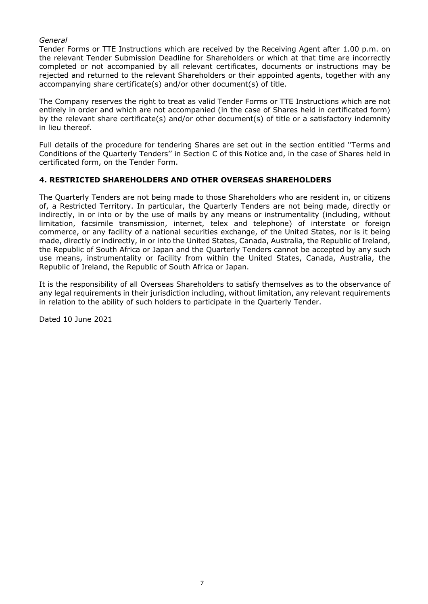## *General*

Tender Forms or TTE Instructions which are received by the Receiving Agent after 1.00 p.m. on the relevant Tender Submission Deadline for Shareholders or which at that time are incorrectly completed or not accompanied by all relevant certificates, documents or instructions may be rejected and returned to the relevant Shareholders or their appointed agents, together with any accompanying share certificate(s) and/or other document(s) of title.

The Company reserves the right to treat as valid Tender Forms or TTE Instructions which are not entirely in order and which are not accompanied (in the case of Shares held in certificated form) by the relevant share certificate(s) and/or other document(s) of title or a satisfactory indemnity in lieu thereof.

Full details of the procedure for tendering Shares are set out in the section entitled ''Terms and Conditions of the Quarterly Tenders'' in Section C of this Notice and, in the case of Shares held in certificated form, on the Tender Form.

# **4. RESTRICTED SHAREHOLDERS AND OTHER OVERSEAS SHAREHOLDERS**

The Quarterly Tenders are not being made to those Shareholders who are resident in, or citizens of, a Restricted Territory. In particular, the Quarterly Tenders are not being made, directly or indirectly, in or into or by the use of mails by any means or instrumentality (including, without limitation, facsimile transmission, internet, telex and telephone) of interstate or foreign commerce, or any facility of a national securities exchange, of the United States, nor is it being made, directly or indirectly, in or into the United States, Canada, Australia, the Republic of Ireland, the Republic of South Africa or Japan and the Quarterly Tenders cannot be accepted by any such use means, instrumentality or facility from within the United States, Canada, Australia, the Republic of Ireland, the Republic of South Africa or Japan.

It is the responsibility of all Overseas Shareholders to satisfy themselves as to the observance of any legal requirements in their jurisdiction including, without limitation, any relevant requirements in relation to the ability of such holders to participate in the Quarterly Tender.

Dated 10 June 2021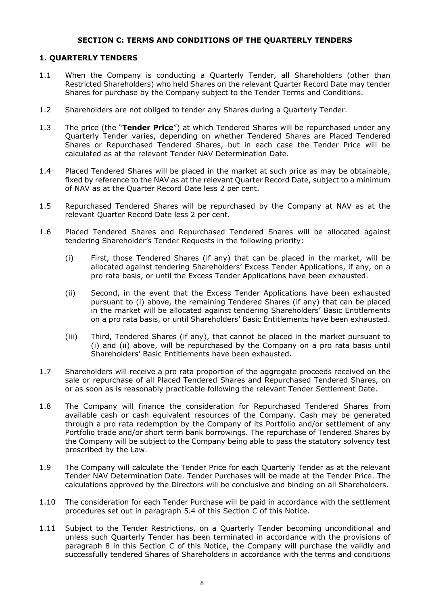#### **SECTION C: TERMS AND CONDITIONS OF THE QUARTERLY TENDERS**

#### **1. QUARTERLY TENDERS**

- 1.1 When the Company is conducting a Quarterly Tender, all Shareholders (other than Restricted Shareholders) who held Shares on the relevant Quarter Record Date may tender Shares for purchase by the Company subject to the Tender Terms and Conditions.
- 1.2 Shareholders are not obliged to tender any Shares during a Quarterly Tender.
- 1.3 The price (the "**Tender Price**") at which Tendered Shares will be repurchased under any Quarterly Tender varies, depending on whether Tendered Shares are Placed Tendered Shares or Repurchased Tendered Shares, but in each case the Tender Price will be calculated as at the relevant Tender NAV Determination Date.
- 1.4 Placed Tendered Shares will be placed in the market at such price as may be obtainable, fixed by reference to the NAV as at the relevant Quarter Record Date, subject to a minimum of NAV as at the Quarter Record Date less 2 per cent.
- 1.5 Repurchased Tendered Shares will be repurchased by the Company at NAV as at the relevant Quarter Record Date less 2 per cent.
- 1.6 Placed Tendered Shares and Repurchased Tendered Shares will be allocated against tendering Shareholder's Tender Requests in the following priority:
	- (i) First, those Tendered Shares (if any) that can be placed in the market, will be allocated against tendering Shareholders' Excess Tender Applications, if any, on a pro rata basis, or until the Excess Tender Applications have been exhausted.
	- (ii) Second, in the event that the Excess Tender Applications have been exhausted pursuant to (i) above, the remaining Tendered Shares (if any) that can be placed in the market will be allocated against tendering Shareholders' Basic Entitlements on a pro rata basis, or until Shareholders' Basic Entitlements have been exhausted.
	- (iii) Third, Tendered Shares (if any), that cannot be placed in the market pursuant to (i) and (ii) above, will be repurchased by the Company on a pro rata basis until Shareholders' Basic Entitlements have been exhausted.
- 1.7 Shareholders will receive a pro rata proportion of the aggregate proceeds received on the sale or repurchase of all Placed Tendered Shares and Repurchased Tendered Shares, on or as soon as is reasonably practicable following the relevant Tender Settlement Date.
- 1.8 The Company will finance the consideration for Repurchased Tendered Shares from available cash or cash equivalent resources of the Company. Cash may be generated through a pro rata redemption by the Company of its Portfolio and/or settlement of any Portfolio trade and/or short term bank borrowings. The repurchase of Tendered Shares by the Company will be subject to the Company being able to pass the statutory solvency test prescribed by the Law.
- 1.9 The Company will calculate the Tender Price for each Quarterly Tender as at the relevant Tender NAV Determination Date. Tender Purchases will be made at the Tender Price. The calculations approved by the Directors will be conclusive and binding on all Shareholders.
- 1.10 The consideration for each Tender Purchase will be paid in accordance with the settlement procedures set out in paragraph 5.4 of this Section C of this Notice.
- 1.11 Subject to the Tender Restrictions, on a Quarterly Tender becoming unconditional and unless such Quarterly Tender has been terminated in accordance with the provisions of paragraph 8 in this Section C of this Notice, the Company will purchase the validly and successfully tendered Shares of Shareholders in accordance with the terms and conditions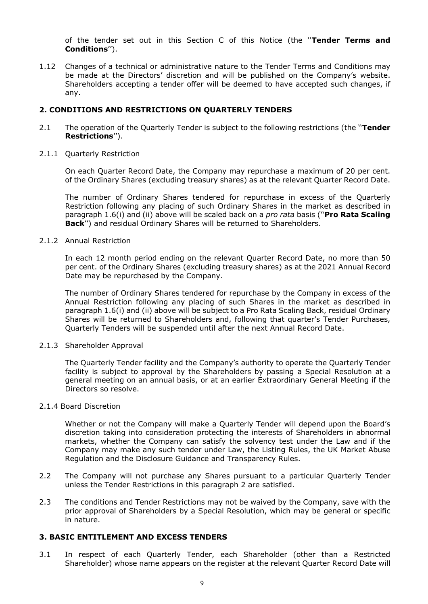of the tender set out in this Section C of this Notice (the ''**Tender Terms and Conditions**'').

1.12 Changes of a technical or administrative nature to the Tender Terms and Conditions may be made at the Directors' discretion and will be published on the Company's website. Shareholders accepting a tender offer will be deemed to have accepted such changes, if any.

## **2. CONDITIONS AND RESTRICTIONS ON QUARTERLY TENDERS**

- 2.1 The operation of the Quarterly Tender is subject to the following restrictions (the ''**Tender Restrictions**'').
- 2.1.1 Quarterly Restriction

On each Quarter Record Date, the Company may repurchase a maximum of 20 per cent. of the Ordinary Shares (excluding treasury shares) as at the relevant Quarter Record Date.

The number of Ordinary Shares tendered for repurchase in excess of the Quarterly Restriction following any placing of such Ordinary Shares in the market as described in paragraph 1.6(i) and (ii) above will be scaled back on a *pro rata* basis (''**Pro Rata Scaling Back**'') and residual Ordinary Shares will be returned to Shareholders.

2.1.2 Annual Restriction

In each 12 month period ending on the relevant Quarter Record Date, no more than 50 per cent. of the Ordinary Shares (excluding treasury shares) as at the 2021 Annual Record Date may be repurchased by the Company.

The number of Ordinary Shares tendered for repurchase by the Company in excess of the Annual Restriction following any placing of such Shares in the market as described in paragraph 1.6(i) and (ii) above will be subject to a Pro Rata Scaling Back, residual Ordinary Shares will be returned to Shareholders and, following that quarter's Tender Purchases, Quarterly Tenders will be suspended until after the next Annual Record Date.

## 2.1.3 Shareholder Approval

The Quarterly Tender facility and the Company's authority to operate the Quarterly Tender facility is subject to approval by the Shareholders by passing a Special Resolution at a general meeting on an annual basis, or at an earlier Extraordinary General Meeting if the Directors so resolve.

#### 2.1.4 Board Discretion

Whether or not the Company will make a Quarterly Tender will depend upon the Board's discretion taking into consideration protecting the interests of Shareholders in abnormal markets, whether the Company can satisfy the solvency test under the Law and if the Company may make any such tender under Law, the Listing Rules, the UK Market Abuse Regulation and the Disclosure Guidance and Transparency Rules.

- 2.2 The Company will not purchase any Shares pursuant to a particular Quarterly Tender unless the Tender Restrictions in this paragraph 2 are satisfied.
- 2.3 The conditions and Tender Restrictions may not be waived by the Company, save with the prior approval of Shareholders by a Special Resolution, which may be general or specific in nature.

# **3. BASIC ENTITLEMENT AND EXCESS TENDERS**

3.1 In respect of each Quarterly Tender, each Shareholder (other than a Restricted Shareholder) whose name appears on the register at the relevant Quarter Record Date will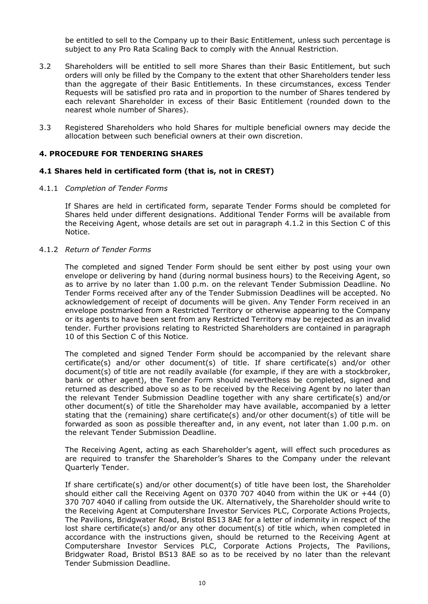be entitled to sell to the Company up to their Basic Entitlement, unless such percentage is subject to any Pro Rata Scaling Back to comply with the Annual Restriction.

- 3.2 Shareholders will be entitled to sell more Shares than their Basic Entitlement, but such orders will only be filled by the Company to the extent that other Shareholders tender less than the aggregate of their Basic Entitlements. In these circumstances, excess Tender Requests will be satisfied pro rata and in proportion to the number of Shares tendered by each relevant Shareholder in excess of their Basic Entitlement (rounded down to the nearest whole number of Shares).
- 3.3 Registered Shareholders who hold Shares for multiple beneficial owners may decide the allocation between such beneficial owners at their own discretion.

#### **4. PROCEDURE FOR TENDERING SHARES**

#### **4.1 Shares held in certificated form (that is, not in CREST)**

#### 4.1.1 *Completion of Tender Forms*

If Shares are held in certificated form, separate Tender Forms should be completed for Shares held under different designations. Additional Tender Forms will be available from the Receiving Agent, whose details are set out in paragraph 4.1.2 in this Section C of this Notice.

#### 4.1.2 *Return of Tender Forms*

The completed and signed Tender Form should be sent either by post using your own envelope or delivering by hand (during normal business hours) to the Receiving Agent, so as to arrive by no later than 1.00 p.m. on the relevant Tender Submission Deadline. No Tender Forms received after any of the Tender Submission Deadlines will be accepted. No acknowledgement of receipt of documents will be given. Any Tender Form received in an envelope postmarked from a Restricted Territory or otherwise appearing to the Company or its agents to have been sent from any Restricted Territory may be rejected as an invalid tender. Further provisions relating to Restricted Shareholders are contained in paragraph 10 of this Section C of this Notice.

The completed and signed Tender Form should be accompanied by the relevant share certificate(s) and/or other document(s) of title. If share certificate(s) and/or other document(s) of title are not readily available (for example, if they are with a stockbroker, bank or other agent), the Tender Form should nevertheless be completed, signed and returned as described above so as to be received by the Receiving Agent by no later than the relevant Tender Submission Deadline together with any share certificate(s) and/or other document(s) of title the Shareholder may have available, accompanied by a letter stating that the (remaining) share certificate(s) and/or other document(s) of title will be forwarded as soon as possible thereafter and, in any event, not later than 1.00 p.m. on the relevant Tender Submission Deadline.

The Receiving Agent, acting as each Shareholder's agent, will effect such procedures as are required to transfer the Shareholder's Shares to the Company under the relevant Quarterly Tender.

If share certificate(s) and/or other document(s) of title have been lost, the Shareholder should either call the Receiving Agent on 0370 707 4040 from within the UK or  $+44$  (0) 370 707 4040 if calling from outside the UK. Alternatively, the Shareholder should write to the Receiving Agent at Computershare Investor Services PLC, Corporate Actions Projects, The Pavilions, Bridgwater Road, Bristol BS13 8AE for a letter of indemnity in respect of the lost share certificate(s) and/or any other document(s) of title which, when completed in accordance with the instructions given, should be returned to the Receiving Agent at Computershare Investor Services PLC, Corporate Actions Projects, The Pavilions, Bridgwater Road, Bristol BS13 8AE so as to be received by no later than the relevant Tender Submission Deadline.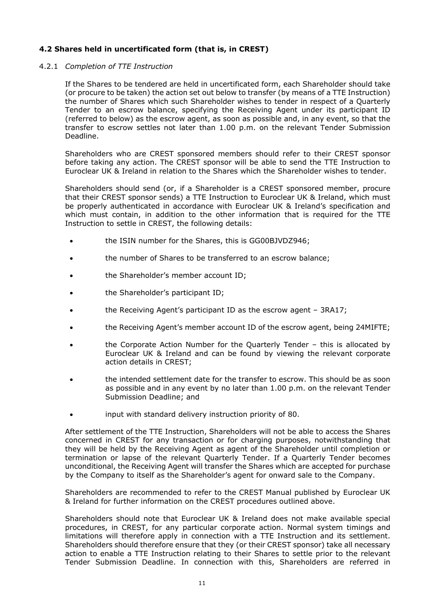# **4.2 Shares held in uncertificated form (that is, in CREST)**

## 4.2.1 *Completion of TTE Instruction*

If the Shares to be tendered are held in uncertificated form, each Shareholder should take (or procure to be taken) the action set out below to transfer (by means of a TTE Instruction) the number of Shares which such Shareholder wishes to tender in respect of a Quarterly Tender to an escrow balance, specifying the Receiving Agent under its participant ID (referred to below) as the escrow agent, as soon as possible and, in any event, so that the transfer to escrow settles not later than 1.00 p.m. on the relevant Tender Submission Deadline.

Shareholders who are CREST sponsored members should refer to their CREST sponsor before taking any action. The CREST sponsor will be able to send the TTE Instruction to Euroclear UK & Ireland in relation to the Shares which the Shareholder wishes to tender.

Shareholders should send (or, if a Shareholder is a CREST sponsored member, procure that their CREST sponsor sends) a TTE Instruction to Euroclear UK & Ireland, which must be properly authenticated in accordance with Euroclear UK & Ireland's specification and which must contain, in addition to the other information that is required for the TTE Instruction to settle in CREST, the following details:

- the ISIN number for the Shares, this is GG00BJVDZ946;
- the number of Shares to be transferred to an escrow balance;
- the Shareholder's member account ID;
- the Shareholder's participant ID;
- **the Receiving Agent's participant ID as the escrow agent 3RA17;**
- the Receiving Agent's member account ID of the escrow agent, being 24MIFTE;
- the Corporate Action Number for the Quarterly Tender this is allocated by Euroclear UK & Ireland and can be found by viewing the relevant corporate action details in CREST;
- the intended settlement date for the transfer to escrow. This should be as soon as possible and in any event by no later than 1.00 p.m. on the relevant Tender Submission Deadline; and
- input with standard delivery instruction priority of 80.

After settlement of the TTE Instruction, Shareholders will not be able to access the Shares concerned in CREST for any transaction or for charging purposes, notwithstanding that they will be held by the Receiving Agent as agent of the Shareholder until completion or termination or lapse of the relevant Quarterly Tender. If a Quarterly Tender becomes unconditional, the Receiving Agent will transfer the Shares which are accepted for purchase by the Company to itself as the Shareholder's agent for onward sale to the Company.

Shareholders are recommended to refer to the CREST Manual published by Euroclear UK & Ireland for further information on the CREST procedures outlined above.

Shareholders should note that Euroclear UK & Ireland does not make available special procedures, in CREST, for any particular corporate action. Normal system timings and limitations will therefore apply in connection with a TTE Instruction and its settlement. Shareholders should therefore ensure that they (or their CREST sponsor) take all necessary action to enable a TTE Instruction relating to their Shares to settle prior to the relevant Tender Submission Deadline. In connection with this, Shareholders are referred in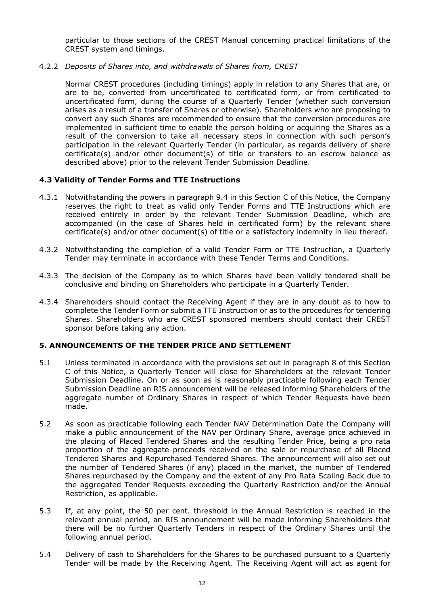particular to those sections of the CREST Manual concerning practical limitations of the CREST system and timings.

4.2.2 *Deposits of Shares into, and withdrawals of Shares from, CREST*

Normal CREST procedures (including timings) apply in relation to any Shares that are, or are to be, converted from uncertificated to certificated form, or from certificated to uncertificated form, during the course of a Quarterly Tender (whether such conversion arises as a result of a transfer of Shares or otherwise). Shareholders who are proposing to convert any such Shares are recommended to ensure that the conversion procedures are implemented in sufficient time to enable the person holding or acquiring the Shares as a result of the conversion to take all necessary steps in connection with such person's participation in the relevant Quarterly Tender (in particular, as regards delivery of share certificate(s) and/or other document(s) of title or transfers to an escrow balance as described above) prior to the relevant Tender Submission Deadline.

## **4.3 Validity of Tender Forms and TTE Instructions**

- 4.3.1 Notwithstanding the powers in paragraph 9.4 in this Section C of this Notice, the Company reserves the right to treat as valid only Tender Forms and TTE Instructions which are received entirely in order by the relevant Tender Submission Deadline, which are accompanied (in the case of Shares held in certificated form) by the relevant share certificate(s) and/or other document(s) of title or a satisfactory indemnity in lieu thereof.
- 4.3.2 Notwithstanding the completion of a valid Tender Form or TTE Instruction, a Quarterly Tender may terminate in accordance with these Tender Terms and Conditions.
- 4.3.3 The decision of the Company as to which Shares have been validly tendered shall be conclusive and binding on Shareholders who participate in a Quarterly Tender.
- 4.3.4 Shareholders should contact the Receiving Agent if they are in any doubt as to how to complete the Tender Form or submit a TTE Instruction or as to the procedures for tendering Shares. Shareholders who are CREST sponsored members should contact their CREST sponsor before taking any action.

# **5. ANNOUNCEMENTS OF THE TENDER PRICE AND SETTLEMENT**

- 5.1 Unless terminated in accordance with the provisions set out in paragraph 8 of this Section C of this Notice, a Quarterly Tender will close for Shareholders at the relevant Tender Submission Deadline. On or as soon as is reasonably practicable following each Tender Submission Deadline an RIS announcement will be released informing Shareholders of the aggregate number of Ordinary Shares in respect of which Tender Requests have been made.
- 5.2 As soon as practicable following each Tender NAV Determination Date the Company will make a public announcement of the NAV per Ordinary Share, average price achieved in the placing of Placed Tendered Shares and the resulting Tender Price, being a pro rata proportion of the aggregate proceeds received on the sale or repurchase of all Placed Tendered Shares and Repurchased Tendered Shares. The announcement will also set out the number of Tendered Shares (if any) placed in the market, the number of Tendered Shares repurchased by the Company and the extent of any Pro Rata Scaling Back due to the aggregated Tender Requests exceeding the Quarterly Restriction and/or the Annual Restriction, as applicable.
- 5.3 If, at any point, the 50 per cent. threshold in the Annual Restriction is reached in the relevant annual period, an RIS announcement will be made informing Shareholders that there will be no further Quarterly Tenders in respect of the Ordinary Shares until the following annual period.
- 5.4 Delivery of cash to Shareholders for the Shares to be purchased pursuant to a Quarterly Tender will be made by the Receiving Agent. The Receiving Agent will act as agent for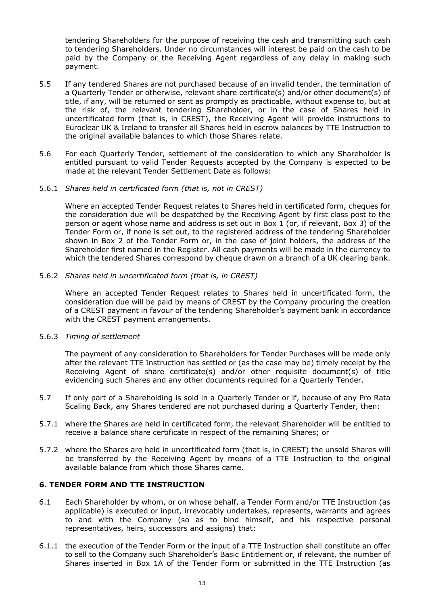tendering Shareholders for the purpose of receiving the cash and transmitting such cash to tendering Shareholders. Under no circumstances will interest be paid on the cash to be paid by the Company or the Receiving Agent regardless of any delay in making such payment.

- 5.5 If any tendered Shares are not purchased because of an invalid tender, the termination of a Quarterly Tender or otherwise, relevant share certificate(s) and/or other document(s) of title, if any, will be returned or sent as promptly as practicable, without expense to, but at the risk of, the relevant tendering Shareholder, or in the case of Shares held in uncertificated form (that is, in CREST), the Receiving Agent will provide instructions to Euroclear UK & Ireland to transfer all Shares held in escrow balances by TTE Instruction to the original available balances to which those Shares relate.
- 5.6 For each Quarterly Tender, settlement of the consideration to which any Shareholder is entitled pursuant to valid Tender Requests accepted by the Company is expected to be made at the relevant Tender Settlement Date as follows:

#### 5.6.1 *Shares held in certificated form (that is, not in CREST)*

Where an accepted Tender Request relates to Shares held in certificated form, cheques for the consideration due will be despatched by the Receiving Agent by first class post to the person or agent whose name and address is set out in Box 1 (or, if relevant, Box 3) of the Tender Form or, if none is set out, to the registered address of the tendering Shareholder shown in Box 2 of the Tender Form or, in the case of joint holders, the address of the Shareholder first named in the Register. All cash payments will be made in the currency to which the tendered Shares correspond by cheque drawn on a branch of a UK clearing bank.

#### 5.6.2 *Shares held in uncertificated form (that is, in CREST)*

Where an accepted Tender Request relates to Shares held in uncertificated form, the consideration due will be paid by means of CREST by the Company procuring the creation of a CREST payment in favour of the tendering Shareholder's payment bank in accordance with the CREST payment arrangements.

## 5.6.3 *Timing of settlement*

The payment of any consideration to Shareholders for Tender Purchases will be made only after the relevant TTE Instruction has settled or (as the case may be) timely receipt by the Receiving Agent of share certificate(s) and/or other requisite document(s) of title evidencing such Shares and any other documents required for a Quarterly Tender.

- 5.7 If only part of a Shareholding is sold in a Quarterly Tender or if, because of any Pro Rata Scaling Back, any Shares tendered are not purchased during a Quarterly Tender, then:
- 5.7.1 where the Shares are held in certificated form, the relevant Shareholder will be entitled to receive a balance share certificate in respect of the remaining Shares; or
- 5.7.2 where the Shares are held in uncertificated form (that is, in CREST) the unsold Shares will be transferred by the Receiving Agent by means of a TTE Instruction to the original available balance from which those Shares came.

## **6. TENDER FORM AND TTE INSTRUCTION**

- 6.1 Each Shareholder by whom, or on whose behalf, a Tender Form and/or TTE Instruction (as applicable) is executed or input, irrevocably undertakes, represents, warrants and agrees to and with the Company (so as to bind himself, and his respective personal representatives, heirs, successors and assigns) that:
- 6.1.1 the execution of the Tender Form or the input of a TTE Instruction shall constitute an offer to sell to the Company such Shareholder's Basic Entitlement or, if relevant, the number of Shares inserted in Box 1A of the Tender Form or submitted in the TTE Instruction (as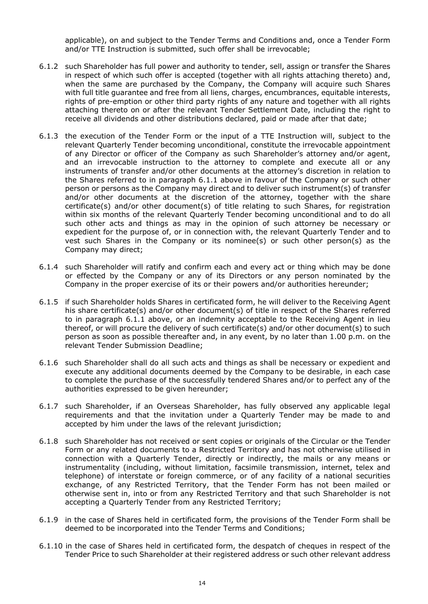applicable), on and subject to the Tender Terms and Conditions and, once a Tender Form and/or TTE Instruction is submitted, such offer shall be irrevocable;

- 6.1.2 such Shareholder has full power and authority to tender, sell, assign or transfer the Shares in respect of which such offer is accepted (together with all rights attaching thereto) and, when the same are purchased by the Company, the Company will acquire such Shares with full title guarantee and free from all liens, charges, encumbrances, equitable interests, rights of pre-emption or other third party rights of any nature and together with all rights attaching thereto on or after the relevant Tender Settlement Date, including the right to receive all dividends and other distributions declared, paid or made after that date;
- 6.1.3 the execution of the Tender Form or the input of a TTE Instruction will, subject to the relevant Quarterly Tender becoming unconditional, constitute the irrevocable appointment of any Director or officer of the Company as such Shareholder's attorney and/or agent, and an irrevocable instruction to the attorney to complete and execute all or any instruments of transfer and/or other documents at the attorney's discretion in relation to the Shares referred to in paragraph 6.1.1 above in favour of the Company or such other person or persons as the Company may direct and to deliver such instrument(s) of transfer and/or other documents at the discretion of the attorney, together with the share certificate(s) and/or other document(s) of title relating to such Shares, for registration within six months of the relevant Quarterly Tender becoming unconditional and to do all such other acts and things as may in the opinion of such attorney be necessary or expedient for the purpose of, or in connection with, the relevant Quarterly Tender and to vest such Shares in the Company or its nominee(s) or such other person(s) as the Company may direct;
- 6.1.4 such Shareholder will ratify and confirm each and every act or thing which may be done or effected by the Company or any of its Directors or any person nominated by the Company in the proper exercise of its or their powers and/or authorities hereunder;
- 6.1.5 if such Shareholder holds Shares in certificated form, he will deliver to the Receiving Agent his share certificate(s) and/or other document(s) of title in respect of the Shares referred to in paragraph 6.1.1 above, or an indemnity acceptable to the Receiving Agent in lieu thereof, or will procure the delivery of such certificate(s) and/or other document(s) to such person as soon as possible thereafter and, in any event, by no later than 1.00 p.m. on the relevant Tender Submission Deadline;
- 6.1.6 such Shareholder shall do all such acts and things as shall be necessary or expedient and execute any additional documents deemed by the Company to be desirable, in each case to complete the purchase of the successfully tendered Shares and/or to perfect any of the authorities expressed to be given hereunder;
- 6.1.7 such Shareholder, if an Overseas Shareholder, has fully observed any applicable legal requirements and that the invitation under a Quarterly Tender may be made to and accepted by him under the laws of the relevant jurisdiction;
- 6.1.8 such Shareholder has not received or sent copies or originals of the Circular or the Tender Form or any related documents to a Restricted Territory and has not otherwise utilised in connection with a Quarterly Tender, directly or indirectly, the mails or any means or instrumentality (including, without limitation, facsimile transmission, internet, telex and telephone) of interstate or foreign commerce, or of any facility of a national securities exchange, of any Restricted Territory, that the Tender Form has not been mailed or otherwise sent in, into or from any Restricted Territory and that such Shareholder is not accepting a Quarterly Tender from any Restricted Territory;
- 6.1.9 in the case of Shares held in certificated form, the provisions of the Tender Form shall be deemed to be incorporated into the Tender Terms and Conditions;
- 6.1.10 in the case of Shares held in certificated form, the despatch of cheques in respect of the Tender Price to such Shareholder at their registered address or such other relevant address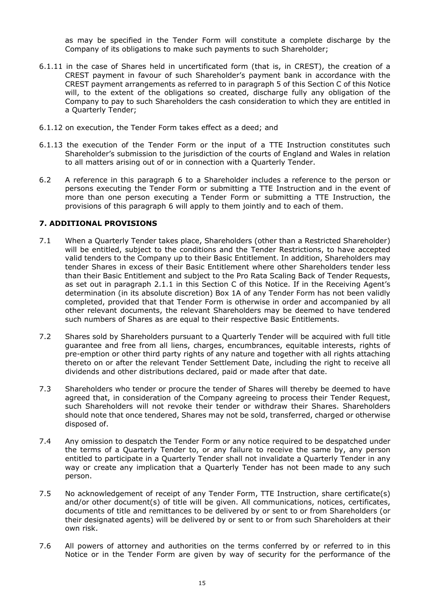as may be specified in the Tender Form will constitute a complete discharge by the Company of its obligations to make such payments to such Shareholder;

- 6.1.11 in the case of Shares held in uncertificated form (that is, in CREST), the creation of a CREST payment in favour of such Shareholder's payment bank in accordance with the CREST payment arrangements as referred to in paragraph 5 of this Section C of this Notice will, to the extent of the obligations so created, discharge fully any obligation of the Company to pay to such Shareholders the cash consideration to which they are entitled in a Quarterly Tender;
- 6.1.12 on execution, the Tender Form takes effect as a deed; and
- 6.1.13 the execution of the Tender Form or the input of a TTE Instruction constitutes such Shareholder's submission to the jurisdiction of the courts of England and Wales in relation to all matters arising out of or in connection with a Quarterly Tender.
- 6.2 A reference in this paragraph 6 to a Shareholder includes a reference to the person or persons executing the Tender Form or submitting a TTE Instruction and in the event of more than one person executing a Tender Form or submitting a TTE Instruction, the provisions of this paragraph 6 will apply to them jointly and to each of them.

# **7. ADDITIONAL PROVISIONS**

- 7.1 When a Quarterly Tender takes place, Shareholders (other than a Restricted Shareholder) will be entitled, subject to the conditions and the Tender Restrictions, to have accepted valid tenders to the Company up to their Basic Entitlement. In addition, Shareholders may tender Shares in excess of their Basic Entitlement where other Shareholders tender less than their Basic Entitlement and subject to the Pro Rata Scaling Back of Tender Requests, as set out in paragraph 2.1.1 in this Section C of this Notice. If in the Receiving Agent's determination (in its absolute discretion) Box 1A of any Tender Form has not been validly completed, provided that that Tender Form is otherwise in order and accompanied by all other relevant documents, the relevant Shareholders may be deemed to have tendered such numbers of Shares as are equal to their respective Basic Entitlements.
- 7.2 Shares sold by Shareholders pursuant to a Quarterly Tender will be acquired with full title guarantee and free from all liens, charges, encumbrances, equitable interests, rights of pre-emption or other third party rights of any nature and together with all rights attaching thereto on or after the relevant Tender Settlement Date, including the right to receive all dividends and other distributions declared, paid or made after that date.
- 7.3 Shareholders who tender or procure the tender of Shares will thereby be deemed to have agreed that, in consideration of the Company agreeing to process their Tender Request, such Shareholders will not revoke their tender or withdraw their Shares. Shareholders should note that once tendered, Shares may not be sold, transferred, charged or otherwise disposed of.
- 7.4 Any omission to despatch the Tender Form or any notice required to be despatched under the terms of a Quarterly Tender to, or any failure to receive the same by, any person entitled to participate in a Quarterly Tender shall not invalidate a Quarterly Tender in any way or create any implication that a Quarterly Tender has not been made to any such person.
- 7.5 No acknowledgement of receipt of any Tender Form, TTE Instruction, share certificate(s) and/or other document(s) of title will be given. All communications, notices, certificates, documents of title and remittances to be delivered by or sent to or from Shareholders (or their designated agents) will be delivered by or sent to or from such Shareholders at their own risk.
- 7.6 All powers of attorney and authorities on the terms conferred by or referred to in this Notice or in the Tender Form are given by way of security for the performance of the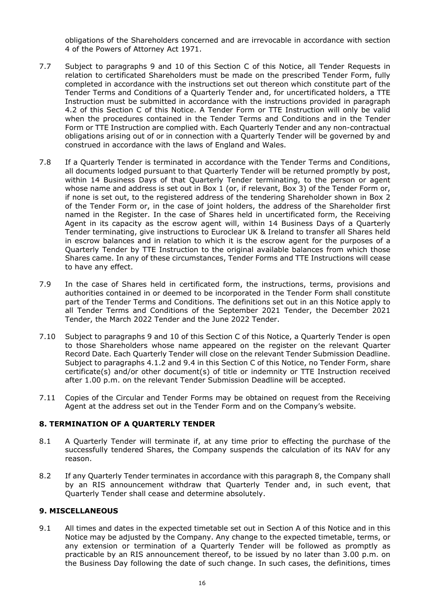obligations of the Shareholders concerned and are irrevocable in accordance with section 4 of the Powers of Attorney Act 1971.

- 7.7 Subject to paragraphs 9 and 10 of this Section C of this Notice, all Tender Requests in relation to certificated Shareholders must be made on the prescribed Tender Form, fully completed in accordance with the instructions set out thereon which constitute part of the Tender Terms and Conditions of a Quarterly Tender and, for uncertificated holders, a TTE Instruction must be submitted in accordance with the instructions provided in paragraph 4.2 of this Section C of this Notice. A Tender Form or TTE Instruction will only be valid when the procedures contained in the Tender Terms and Conditions and in the Tender Form or TTE Instruction are complied with. Each Quarterly Tender and any non-contractual obligations arising out of or in connection with a Quarterly Tender will be governed by and construed in accordance with the laws of England and Wales.
- 7.8 If a Quarterly Tender is terminated in accordance with the Tender Terms and Conditions, all documents lodged pursuant to that Quarterly Tender will be returned promptly by post, within 14 Business Days of that Quarterly Tender terminating, to the person or agent whose name and address is set out in Box 1 (or, if relevant, Box 3) of the Tender Form or, if none is set out, to the registered address of the tendering Shareholder shown in Box 2 of the Tender Form or, in the case of joint holders, the address of the Shareholder first named in the Register. In the case of Shares held in uncertificated form, the Receiving Agent in its capacity as the escrow agent will, within 14 Business Days of a Quarterly Tender terminating, give instructions to Euroclear UK & Ireland to transfer all Shares held in escrow balances and in relation to which it is the escrow agent for the purposes of a Quarterly Tender by TTE Instruction to the original available balances from which those Shares came. In any of these circumstances, Tender Forms and TTE Instructions will cease to have any effect.
- 7.9 In the case of Shares held in certificated form, the instructions, terms, provisions and authorities contained in or deemed to be incorporated in the Tender Form shall constitute part of the Tender Terms and Conditions. The definitions set out in an this Notice apply to all Tender Terms and Conditions of the September 2021 Tender, the December 2021 Tender, the March 2022 Tender and the June 2022 Tender.
- 7.10 Subject to paragraphs 9 and 10 of this Section C of this Notice, a Quarterly Tender is open to those Shareholders whose name appeared on the register on the relevant Quarter Record Date. Each Quarterly Tender will close on the relevant Tender Submission Deadline. Subject to paragraphs 4.1.2 and 9.4 in this Section C of this Notice, no Tender Form, share certificate(s) and/or other document(s) of title or indemnity or TTE Instruction received after 1.00 p.m. on the relevant Tender Submission Deadline will be accepted.
- 7.11 Copies of the Circular and Tender Forms may be obtained on request from the Receiving Agent at the address set out in the Tender Form and on the Company's website.

## **8. TERMINATION OF A QUARTERLY TENDER**

- 8.1 A Quarterly Tender will terminate if, at any time prior to effecting the purchase of the successfully tendered Shares, the Company suspends the calculation of its NAV for any reason.
- 8.2 If any Quarterly Tender terminates in accordance with this paragraph 8, the Company shall by an RIS announcement withdraw that Quarterly Tender and, in such event, that Quarterly Tender shall cease and determine absolutely.

#### **9. MISCELLANEOUS**

9.1 All times and dates in the expected timetable set out in Section A of this Notice and in this Notice may be adjusted by the Company. Any change to the expected timetable, terms, or any extension or termination of a Quarterly Tender will be followed as promptly as practicable by an RIS announcement thereof, to be issued by no later than 3.00 p.m. on the Business Day following the date of such change. In such cases, the definitions, times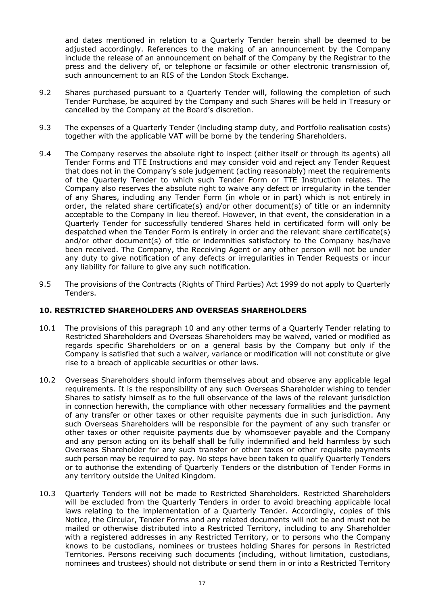and dates mentioned in relation to a Quarterly Tender herein shall be deemed to be adjusted accordingly. References to the making of an announcement by the Company include the release of an announcement on behalf of the Company by the Registrar to the press and the delivery of, or telephone or facsimile or other electronic transmission of, such announcement to an RIS of the London Stock Exchange.

- 9.2 Shares purchased pursuant to a Quarterly Tender will, following the completion of such Tender Purchase, be acquired by the Company and such Shares will be held in Treasury or cancelled by the Company at the Board's discretion.
- 9.3 The expenses of a Quarterly Tender (including stamp duty, and Portfolio realisation costs) together with the applicable VAT will be borne by the tendering Shareholders.
- 9.4 The Company reserves the absolute right to inspect (either itself or through its agents) all Tender Forms and TTE Instructions and may consider void and reject any Tender Request that does not in the Company's sole judgement (acting reasonably) meet the requirements of the Quarterly Tender to which such Tender Form or TTE Instruction relates. The Company also reserves the absolute right to waive any defect or irregularity in the tender of any Shares, including any Tender Form (in whole or in part) which is not entirely in order, the related share certificate(s) and/or other document(s) of title or an indemnity acceptable to the Company in lieu thereof. However, in that event, the consideration in a Quarterly Tender for successfully tendered Shares held in certificated form will only be despatched when the Tender Form is entirely in order and the relevant share certificate(s) and/or other document(s) of title or indemnities satisfactory to the Company has/have been received. The Company, the Receiving Agent or any other person will not be under any duty to give notification of any defects or irregularities in Tender Requests or incur any liability for failure to give any such notification.
- 9.5 The provisions of the Contracts (Rights of Third Parties) Act 1999 do not apply to Quarterly Tenders.

## **10. RESTRICTED SHAREHOLDERS AND OVERSEAS SHAREHOLDERS**

- 10.1 The provisions of this paragraph 10 and any other terms of a Quarterly Tender relating to Restricted Shareholders and Overseas Shareholders may be waived, varied or modified as regards specific Shareholders or on a general basis by the Company but only if the Company is satisfied that such a waiver, variance or modification will not constitute or give rise to a breach of applicable securities or other laws.
- 10.2 Overseas Shareholders should inform themselves about and observe any applicable legal requirements. It is the responsibility of any such Overseas Shareholder wishing to tender Shares to satisfy himself as to the full observance of the laws of the relevant jurisdiction in connection herewith, the compliance with other necessary formalities and the payment of any transfer or other taxes or other requisite payments due in such jurisdiction. Any such Overseas Shareholders will be responsible for the payment of any such transfer or other taxes or other requisite payments due by whomsoever payable and the Company and any person acting on its behalf shall be fully indemnified and held harmless by such Overseas Shareholder for any such transfer or other taxes or other requisite payments such person may be required to pay. No steps have been taken to qualify Quarterly Tenders or to authorise the extending of Quarterly Tenders or the distribution of Tender Forms in any territory outside the United Kingdom.
- 10.3 Quarterly Tenders will not be made to Restricted Shareholders. Restricted Shareholders will be excluded from the Quarterly Tenders in order to avoid breaching applicable local laws relating to the implementation of a Quarterly Tender. Accordingly, copies of this Notice, the Circular, Tender Forms and any related documents will not be and must not be mailed or otherwise distributed into a Restricted Territory, including to any Shareholder with a registered addresses in any Restricted Territory, or to persons who the Company knows to be custodians, nominees or trustees holding Shares for persons in Restricted Territories. Persons receiving such documents (including, without limitation, custodians, nominees and trustees) should not distribute or send them in or into a Restricted Territory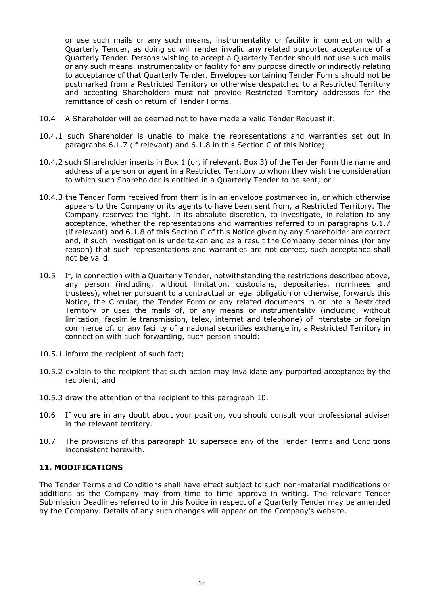or use such mails or any such means, instrumentality or facility in connection with a Quarterly Tender, as doing so will render invalid any related purported acceptance of a Quarterly Tender. Persons wishing to accept a Quarterly Tender should not use such mails or any such means, instrumentality or facility for any purpose directly or indirectly relating to acceptance of that Quarterly Tender. Envelopes containing Tender Forms should not be postmarked from a Restricted Territory or otherwise despatched to a Restricted Territory and accepting Shareholders must not provide Restricted Territory addresses for the remittance of cash or return of Tender Forms.

- 10.4 A Shareholder will be deemed not to have made a valid Tender Request if:
- 10.4.1 such Shareholder is unable to make the representations and warranties set out in paragraphs 6.1.7 (if relevant) and 6.1.8 in this Section C of this Notice;
- 10.4.2 such Shareholder inserts in Box 1 (or, if relevant, Box 3) of the Tender Form the name and address of a person or agent in a Restricted Territory to whom they wish the consideration to which such Shareholder is entitled in a Quarterly Tender to be sent; or
- 10.4.3 the Tender Form received from them is in an envelope postmarked in, or which otherwise appears to the Company or its agents to have been sent from, a Restricted Territory. The Company reserves the right, in its absolute discretion, to investigate, in relation to any acceptance, whether the representations and warranties referred to in paragraphs 6.1.7 (if relevant) and 6.1.8 of this Section C of this Notice given by any Shareholder are correct and, if such investigation is undertaken and as a result the Company determines (for any reason) that such representations and warranties are not correct, such acceptance shall not be valid.
- 10.5 If, in connection with a Quarterly Tender, notwithstanding the restrictions described above, any person (including, without limitation, custodians, depositaries, nominees and trustees), whether pursuant to a contractual or legal obligation or otherwise, forwards this Notice, the Circular, the Tender Form or any related documents in or into a Restricted Territory or uses the mails of, or any means or instrumentality (including, without limitation, facsimile transmission, telex, internet and telephone) of interstate or foreign commerce of, or any facility of a national securities exchange in, a Restricted Territory in connection with such forwarding, such person should:
- 10.5.1 inform the recipient of such fact;
- 10.5.2 explain to the recipient that such action may invalidate any purported acceptance by the recipient; and
- 10.5.3 draw the attention of the recipient to this paragraph 10.
- 10.6 If you are in any doubt about your position, you should consult your professional adviser in the relevant territory.
- 10.7 The provisions of this paragraph 10 supersede any of the Tender Terms and Conditions inconsistent herewith.

## **11. MODIFICATIONS**

The Tender Terms and Conditions shall have effect subject to such non-material modifications or additions as the Company may from time to time approve in writing. The relevant Tender Submission Deadlines referred to in this Notice in respect of a Quarterly Tender may be amended by the Company. Details of any such changes will appear on the Company's website.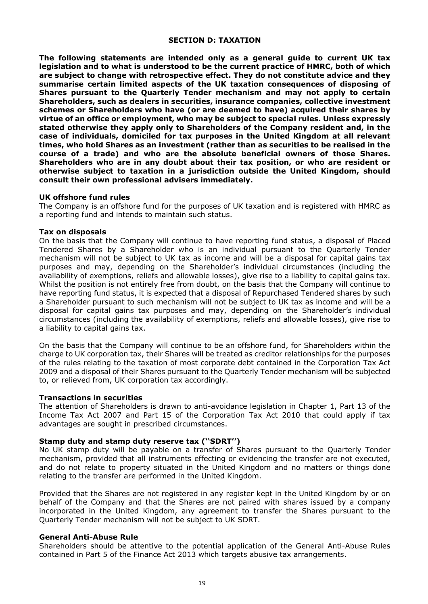#### **SECTION D: TAXATION**

**The following statements are intended only as a general guide to current UK tax legislation and to what is understood to be the current practice of HMRC, both of which are subject to change with retrospective effect. They do not constitute advice and they summarise certain limited aspects of the UK taxation consequences of disposing of Shares pursuant to the Quarterly Tender mechanism and may not apply to certain Shareholders, such as dealers in securities, insurance companies, collective investment schemes or Shareholders who have (or are deemed to have) acquired their shares by virtue of an office or employment, who may be subject to special rules. Unless expressly stated otherwise they apply only to Shareholders of the Company resident and, in the case of individuals, domiciled for tax purposes in the United Kingdom at all relevant times, who hold Shares as an investment (rather than as securities to be realised in the course of a trade) and who are the absolute beneficial owners of those Shares. Shareholders who are in any doubt about their tax position, or who are resident or otherwise subject to taxation in a jurisdiction outside the United Kingdom, should consult their own professional advisers immediately.** 

#### **UK offshore fund rules**

The Company is an offshore fund for the purposes of UK taxation and is registered with HMRC as a reporting fund and intends to maintain such status.

#### **Tax on disposals**

On the basis that the Company will continue to have reporting fund status, a disposal of Placed Tendered Shares by a Shareholder who is an individual pursuant to the Quarterly Tender mechanism will not be subject to UK tax as income and will be a disposal for capital gains tax purposes and may, depending on the Shareholder's individual circumstances (including the availability of exemptions, reliefs and allowable losses), give rise to a liability to capital gains tax. Whilst the position is not entirely free from doubt, on the basis that the Company will continue to have reporting fund status, it is expected that a disposal of Repurchased Tendered shares by such a Shareholder pursuant to such mechanism will not be subject to UK tax as income and will be a disposal for capital gains tax purposes and may, depending on the Shareholder's individual circumstances (including the availability of exemptions, reliefs and allowable losses), give rise to a liability to capital gains tax.

On the basis that the Company will continue to be an offshore fund, for Shareholders within the charge to UK corporation tax, their Shares will be treated as creditor relationships for the purposes of the rules relating to the taxation of most corporate debt contained in the Corporation Tax Act 2009 and a disposal of their Shares pursuant to the Quarterly Tender mechanism will be subjected to, or relieved from, UK corporation tax accordingly.

#### **Transactions in securities**

The attention of Shareholders is drawn to anti-avoidance legislation in Chapter 1, Part 13 of the Income Tax Act 2007 and Part 15 of the Corporation Tax Act 2010 that could apply if tax advantages are sought in prescribed circumstances.

## **Stamp duty and stamp duty reserve tax (''SDRT'')**

No UK stamp duty will be payable on a transfer of Shares pursuant to the Quarterly Tender mechanism, provided that all instruments effecting or evidencing the transfer are not executed, and do not relate to property situated in the United Kingdom and no matters or things done relating to the transfer are performed in the United Kingdom.

Provided that the Shares are not registered in any register kept in the United Kingdom by or on behalf of the Company and that the Shares are not paired with shares issued by a company incorporated in the United Kingdom, any agreement to transfer the Shares pursuant to the Quarterly Tender mechanism will not be subject to UK SDRT.

#### **General Anti-Abuse Rule**

Shareholders should be attentive to the potential application of the General Anti-Abuse Rules contained in Part 5 of the Finance Act 2013 which targets abusive tax arrangements.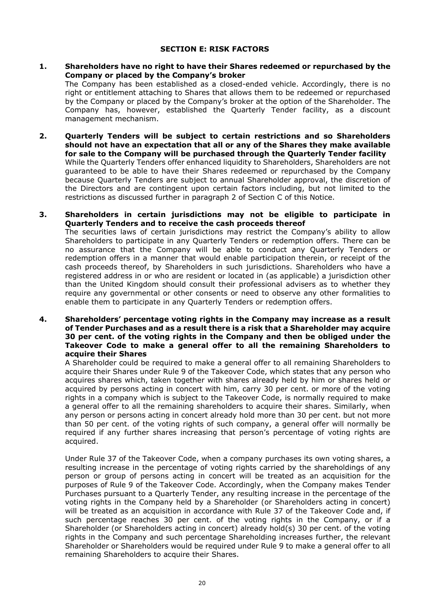#### **SECTION E: RISK FACTORS**

**1. Shareholders have no right to have their Shares redeemed or repurchased by the Company or placed by the Company's broker**

The Company has been established as a closed-ended vehicle. Accordingly, there is no right or entitlement attaching to Shares that allows them to be redeemed or repurchased by the Company or placed by the Company's broker at the option of the Shareholder. The Company has, however, established the Quarterly Tender facility, as a discount management mechanism.

- **2. Quarterly Tenders will be subject to certain restrictions and so Shareholders should not have an expectation that all or any of the Shares they make available for sale to the Company will be purchased through the Quarterly Tender facility** While the Quarterly Tenders offer enhanced liquidity to Shareholders, Shareholders are not guaranteed to be able to have their Shares redeemed or repurchased by the Company because Quarterly Tenders are subject to annual Shareholder approval, the discretion of the Directors and are contingent upon certain factors including, but not limited to the restrictions as discussed further in paragraph 2 of Section C of this Notice.
- **3. Shareholders in certain jurisdictions may not be eligible to participate in Quarterly Tenders and to receive the cash proceeds thereof** The securities laws of certain jurisdictions may restrict the Company's ability to allow Shareholders to participate in any Quarterly Tenders or redemption offers. There can be no assurance that the Company will be able to conduct any Quarterly Tenders or redemption offers in a manner that would enable participation therein, or receipt of the cash proceeds thereof, by Shareholders in such jurisdictions. Shareholders who have a registered address in or who are resident or located in (as applicable) a jurisdiction other than the United Kingdom should consult their professional advisers as to whether they require any governmental or other consents or need to observe any other formalities to enable them to participate in any Quarterly Tenders or redemption offers.
- **4. Shareholders' percentage voting rights in the Company may increase as a result of Tender Purchases and as a result there is a risk that a Shareholder may acquire 30 per cent. of the voting rights in the Company and then be obliged under the Takeover Code to make a general offer to all the remaining Shareholders to acquire their Shares**

A Shareholder could be required to make a general offer to all remaining Shareholders to acquire their Shares under Rule 9 of the Takeover Code, which states that any person who acquires shares which, taken together with shares already held by him or shares held or acquired by persons acting in concert with him, carry 30 per cent. or more of the voting rights in a company which is subject to the Takeover Code, is normally required to make a general offer to all the remaining shareholders to acquire their shares. Similarly, when any person or persons acting in concert already hold more than 30 per cent. but not more than 50 per cent. of the voting rights of such company, a general offer will normally be required if any further shares increasing that person's percentage of voting rights are acquired.

Under Rule 37 of the Takeover Code, when a company purchases its own voting shares, a resulting increase in the percentage of voting rights carried by the shareholdings of any person or group of persons acting in concert will be treated as an acquisition for the purposes of Rule 9 of the Takeover Code. Accordingly, when the Company makes Tender Purchases pursuant to a Quarterly Tender, any resulting increase in the percentage of the voting rights in the Company held by a Shareholder (or Shareholders acting in concert) will be treated as an acquisition in accordance with Rule 37 of the Takeover Code and, if such percentage reaches 30 per cent. of the voting rights in the Company, or if a Shareholder (or Shareholders acting in concert) already hold(s) 30 per cent. of the voting rights in the Company and such percentage Shareholding increases further, the relevant Shareholder or Shareholders would be required under Rule 9 to make a general offer to all remaining Shareholders to acquire their Shares.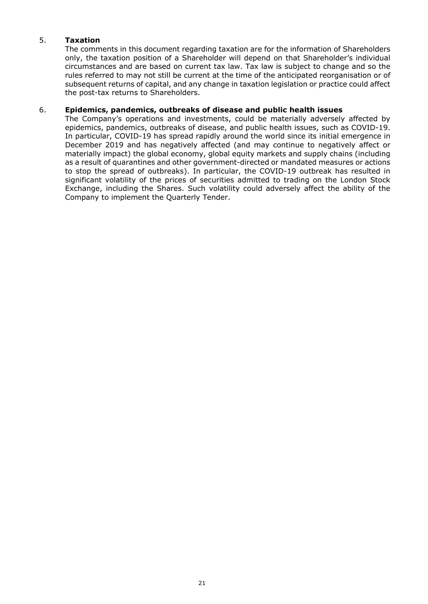# 5. **Taxation**

The comments in this document regarding taxation are for the information of Shareholders only, the taxation position of a Shareholder will depend on that Shareholder's individual circumstances and are based on current tax law. Tax law is subject to change and so the rules referred to may not still be current at the time of the anticipated reorganisation or of subsequent returns of capital, and any change in taxation legislation or practice could affect the post-tax returns to Shareholders.

## 6. **Epidemics, pandemics, outbreaks of disease and public health issues**

The Company's operations and investments, could be materially adversely affected by epidemics, pandemics, outbreaks of disease, and public health issues, such as COVID-19. In particular, COVID-19 has spread rapidly around the world since its initial emergence in December 2019 and has negatively affected (and may continue to negatively affect or materially impact) the global economy, global equity markets and supply chains (including as a result of quarantines and other government-directed or mandated measures or actions to stop the spread of outbreaks). In particular, the COVID-19 outbreak has resulted in significant volatility of the prices of securities admitted to trading on the London Stock Exchange, including the Shares. Such volatility could adversely affect the ability of the Company to implement the Quarterly Tender.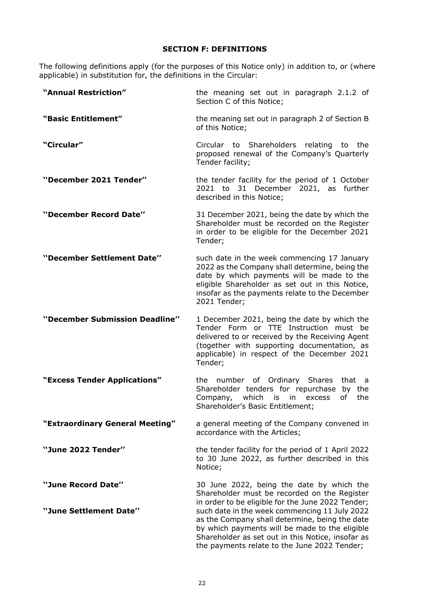# **SECTION F: DEFINITIONS**

The following definitions apply (for the purposes of this Notice only) in addition to, or (where applicable) in substitution for, the definitions in the Circular:

| "Annual Restriction"                         | the meaning set out in paragraph 2.1.2 of<br>Section C of this Notice;                                                                                                                                                                                                                                                                                                                                   |
|----------------------------------------------|----------------------------------------------------------------------------------------------------------------------------------------------------------------------------------------------------------------------------------------------------------------------------------------------------------------------------------------------------------------------------------------------------------|
| "Basic Entitlement"                          | the meaning set out in paragraph 2 of Section B<br>of this Notice;                                                                                                                                                                                                                                                                                                                                       |
| "Circular"                                   | Circular to Shareholders relating to the<br>proposed renewal of the Company's Quarterly<br>Tender facility;                                                                                                                                                                                                                                                                                              |
| "December 2021 Tender"                       | the tender facility for the period of 1 October<br>2021 to 31 December 2021, as further<br>described in this Notice;                                                                                                                                                                                                                                                                                     |
| "December Record Date"                       | 31 December 2021, being the date by which the<br>Shareholder must be recorded on the Register<br>in order to be eligible for the December 2021<br>Tender;                                                                                                                                                                                                                                                |
| "December Settlement Date"                   | such date in the week commencing 17 January<br>2022 as the Company shall determine, being the<br>date by which payments will be made to the<br>eligible Shareholder as set out in this Notice,<br>insofar as the payments relate to the December<br>2021 Tender;                                                                                                                                         |
| "December Submission Deadline"               | 1 December 2021, being the date by which the<br>Tender Form or TTE Instruction must be<br>delivered to or received by the Receiving Agent<br>(together with supporting documentation, as<br>applicable) in respect of the December 2021<br>Tender;                                                                                                                                                       |
| "Excess Tender Applications"                 | the number of Ordinary Shares<br>that a<br>Shareholder tenders for repurchase<br>by the<br>which<br>Company,<br>of<br>the<br>is<br>in<br>excess<br>Shareholder's Basic Entitlement;                                                                                                                                                                                                                      |
| "Extraordinary General Meeting"              | a general meeting of the Company convened in<br>accordance with the Articles;                                                                                                                                                                                                                                                                                                                            |
| "June 2022 Tender"                           | the tender facility for the period of 1 April 2022<br>to 30 June 2022, as further described in this<br>Notice;                                                                                                                                                                                                                                                                                           |
| "June Record Date"<br>"June Settlement Date" | 30 June 2022, being the date by which the<br>Shareholder must be recorded on the Register<br>in order to be eligible for the June 2022 Tender;<br>such date in the week commencing 11 July 2022<br>as the Company shall determine, being the date<br>by which payments will be made to the eligible<br>Shareholder as set out in this Notice, insofar as<br>the payments relate to the June 2022 Tender; |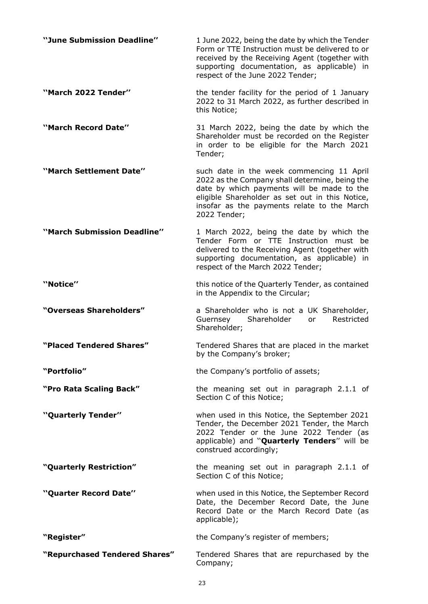| "June Submission Deadline" | 1 June 2022, being the date by which the Tender<br>Form or TTE Instruction must be delivered to or<br>received by the Receiving Agent (together with<br>supporting documentation, as applicable) in<br>respect of the June 2022 Tender; |
|----------------------------|-----------------------------------------------------------------------------------------------------------------------------------------------------------------------------------------------------------------------------------------|
| "March 2022 Tender"        | the tender facility for the period of 1 January<br>2022 to 31 March 2022, as further described in<br>this Notice;                                                                                                                       |
| "March Record Date"        | 31 March 2022, being the date by which the<br>Shareholder must be recorded on the Register<br>in order to be eligible for the March 2021<br>Tender;                                                                                     |

**''March Settlement Date''** such date in the week commencing 11 April 2022 as the Company shall determine, being the date by which payments will be made to the eligible Shareholder as set out in this Notice, insofar as the payments relate to the March 2022 Tender;

**''March Submission Deadline''** 1 March 2022, being the date by which the Tender Form or TTE Instruction must be delivered to the Receiving Agent (together with supporting documentation, as applicable) in respect of the March 2022 Tender;

**''Notice''** this notice of the Quarterly Tender, as contained in the Appendix to the Circular;

**"Overseas Shareholders"** a Shareholder who is not a UK Shareholder, Guernsey Shareholder or Shareholder;

**"Placed Tendered Shares"** Tendered Shares that are placed in the market by the Company's broker;

**"Portfolio"** the Company's portfolio of assets;

**"Pro Rata Scaling Back"** the meaning set out in paragraph 2.1.1 of Section C of this Notice;

construed accordingly;

Section C of this Notice;

Tender, the December 2021 Tender, the March 2022 Tender or the June 2022 Tender (as applicable) and ''**Quarterly Tenders**'' will be

Date, the December Record Date, the June Record Date or the March Record Date (as

**''Quarterly Tender''** when used in this Notice, the September 2021

**"Quarterly Restriction"** the meaning set out in paragraph 2.1.1 of

**''Quarter Record Date''** when used in this Notice, the September Record

**"Register"** the Company's register of members;

**"Repurchased Tendered Shares"** Tendered Shares that are repurchased by the Company;

applicable);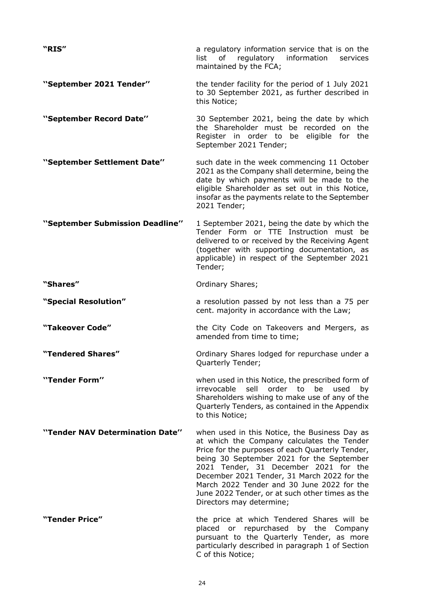| "RIS"                           | a regulatory information service that is on the<br>of regulatory<br>information<br>list<br>services<br>maintained by the FCA;                                                                                                                                                                                                                                                                                     |
|---------------------------------|-------------------------------------------------------------------------------------------------------------------------------------------------------------------------------------------------------------------------------------------------------------------------------------------------------------------------------------------------------------------------------------------------------------------|
| "September 2021 Tender"         | the tender facility for the period of 1 July 2021<br>to 30 September 2021, as further described in<br>this Notice;                                                                                                                                                                                                                                                                                                |
| "September Record Date"         | 30 September 2021, being the date by which<br>the Shareholder must be recorded on the<br>Register in order to be eligible for the<br>September 2021 Tender;                                                                                                                                                                                                                                                       |
| "September Settlement Date"     | such date in the week commencing 11 October<br>2021 as the Company shall determine, being the<br>date by which payments will be made to the<br>eligible Shareholder as set out in this Notice,<br>insofar as the payments relate to the September<br>2021 Tender;                                                                                                                                                 |
| "September Submission Deadline" | 1 September 2021, being the date by which the<br>Tender Form or TTE Instruction must be<br>delivered to or received by the Receiving Agent<br>(together with supporting documentation, as<br>applicable) in respect of the September 2021<br>Tender;                                                                                                                                                              |
| "Shares"                        | Ordinary Shares;                                                                                                                                                                                                                                                                                                                                                                                                  |
| "Special Resolution"            | a resolution passed by not less than a 75 per<br>cent. majority in accordance with the Law;                                                                                                                                                                                                                                                                                                                       |
| "Takeover Code"                 | the City Code on Takeovers and Mergers, as<br>amended from time to time;                                                                                                                                                                                                                                                                                                                                          |
| "Tendered Shares"               | Ordinary Shares lodged for repurchase under a<br>Quarterly Tender;                                                                                                                                                                                                                                                                                                                                                |
| "Tender Form"                   | when used in this Notice, the prescribed form of<br>sell<br>order to<br>irrevocable<br>be used<br>by<br>Shareholders wishing to make use of any of the<br>Quarterly Tenders, as contained in the Appendix<br>to this Notice;                                                                                                                                                                                      |
| "Tender NAV Determination Date" | when used in this Notice, the Business Day as<br>at which the Company calculates the Tender<br>Price for the purposes of each Quarterly Tender,<br>being 30 September 2021 for the September<br>2021 Tender, 31 December 2021 for the<br>December 2021 Tender, 31 March 2022 for the<br>March 2022 Tender and 30 June 2022 for the<br>June 2022 Tender, or at such other times as the<br>Directors may determine; |
| "Tender Price"                  | the price at which Tendered Shares will be<br>placed or repurchased by the Company<br>pursuant to the Quarterly Tender, as more<br>particularly described in paragraph 1 of Section<br>C of this Notice;                                                                                                                                                                                                          |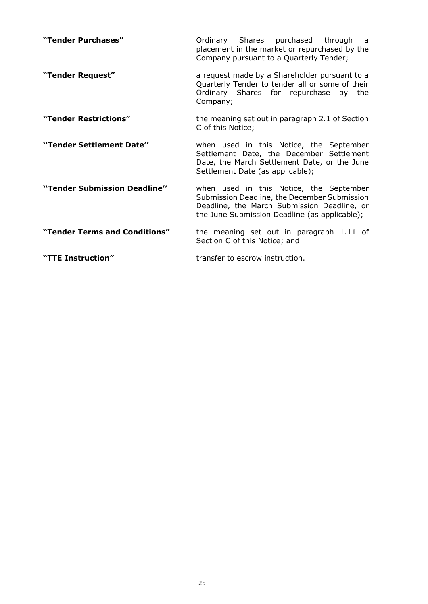| "Tender Purchases"            | Ordinary Shares purchased through a<br>placement in the market or repurchased by the<br>Company pursuant to a Quarterly Tender;                                                         |
|-------------------------------|-----------------------------------------------------------------------------------------------------------------------------------------------------------------------------------------|
| "Tender Request"              | a request made by a Shareholder pursuant to a<br>Quarterly Tender to tender all or some of their<br>Ordinary Shares for repurchase by the<br>Company;                                   |
| "Tender Restrictions"         | the meaning set out in paragraph 2.1 of Section<br>C of this Notice;                                                                                                                    |
| "Tender Settlement Date"      | when used in this Notice, the September<br>Settlement Date, the December Settlement<br>Date, the March Settlement Date, or the June<br>Settlement Date (as applicable);                 |
| "Tender Submission Deadline"  | when used in this Notice, the September<br>Submission Deadline, the December Submission<br>Deadline, the March Submission Deadline, or<br>the June Submission Deadline (as applicable); |
| "Tender Terms and Conditions" | the meaning set out in paragraph 1.11 of<br>Section C of this Notice; and                                                                                                               |
| "TTE Instruction"             | transfer to escrow instruction.                                                                                                                                                         |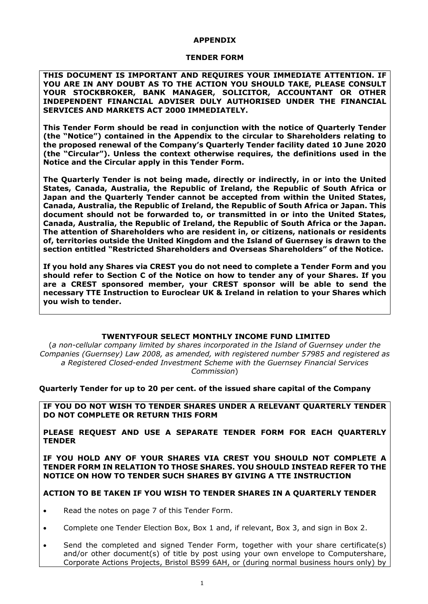#### **APPENDIX**

#### **TENDER FORM**

**THIS DOCUMENT IS IMPORTANT AND REQUIRES YOUR IMMEDIATE ATTENTION. IF YOU ARE IN ANY DOUBT AS TO THE ACTION YOU SHOULD TAKE, PLEASE CONSULT YOUR STOCKBROKER, BANK MANAGER, SOLICITOR, ACCOUNTANT OR OTHER INDEPENDENT FINANCIAL ADVISER DULY AUTHORISED UNDER THE FINANCIAL SERVICES AND MARKETS ACT 2000 IMMEDIATELY.** 

**This Tender Form should be read in conjunction with the notice of Quarterly Tender (the "Notice") contained in the Appendix to the circular to Shareholders relating to the proposed renewal of the Company's Quarterly Tender facility dated 10 June 2020 (the "Circular"). Unless the context otherwise requires, the definitions used in the Notice and the Circular apply in this Tender Form.** 

**The Quarterly Tender is not being made, directly or indirectly, in or into the United States, Canada, Australia, the Republic of Ireland, the Republic of South Africa or Japan and the Quarterly Tender cannot be accepted from within the United States, Canada, Australia, the Republic of Ireland, the Republic of South Africa or Japan. This document should not be forwarded to, or transmitted in or into the United States, Canada, Australia, the Republic of Ireland, the Republic of South Africa or the Japan. The attention of Shareholders who are resident in, or citizens, nationals or residents of, territories outside the United Kingdom and the Island of Guernsey is drawn to the section entitled "Restricted Shareholders and Overseas Shareholders" of the Notice.** 

**If you hold any Shares via CREST you do not need to complete a Tender Form and you should refer to Section C of the Notice on how to tender any of your Shares. If you are a CREST sponsored member, your CREST sponsor will be able to send the necessary TTE Instruction to Euroclear UK & Ireland in relation to your Shares which you wish to tender.**

## **TWENTYFOUR SELECT MONTHLY INCOME FUND LIMITED**

(*a non-cellular company limited by shares incorporated in the Island of Guernsey under the Companies (Guernsey) Law 2008, as amended, with registered number 57985 and registered as a Registered Closed-ended Investment Scheme with the Guernsey Financial Services Commission*)

**Quarterly Tender for up to 20 per cent. of the issued share capital of the Company** 

**IF YOU DO NOT WISH TO TENDER SHARES UNDER A RELEVANT QUARTERLY TENDER DO NOT COMPLETE OR RETURN THIS FORM**

**PLEASE REQUEST AND USE A SEPARATE TENDER FORM FOR EACH QUARTERLY TENDER**

**IF YOU HOLD ANY OF YOUR SHARES VIA CREST YOU SHOULD NOT COMPLETE A TENDER FORM IN RELATION TO THOSE SHARES. YOU SHOULD INSTEAD REFER TO THE NOTICE ON HOW TO TENDER SUCH SHARES BY GIVING A TTE INSTRUCTION**

## **ACTION TO BE TAKEN IF YOU WISH TO TENDER SHARES IN A QUARTERLY TENDER**

- Read the notes on page 7 of this Tender Form.
- Complete one Tender Election Box, Box 1 and, if relevant, Box 3, and sign in Box 2.
- Send the completed and signed Tender Form, together with your share certificate(s) and/or other document(s) of title by post using your own envelope to Computershare, Corporate Actions Projects, Bristol BS99 6AH, or (during normal business hours only) by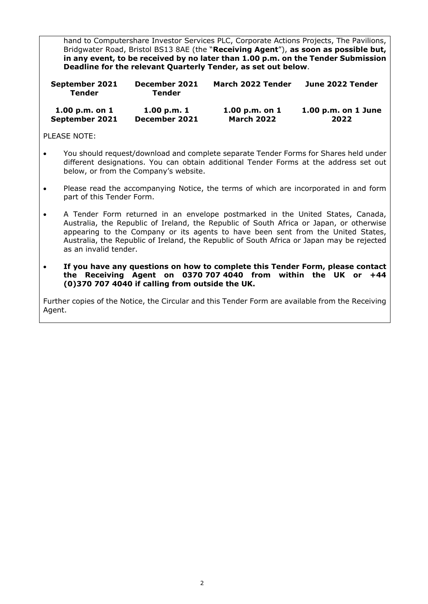hand to Computershare Investor Services PLC, Corporate Actions Projects, The Pavilions, Bridgwater Road, Bristol BS13 8AE (the "**Receiving Agent**"), **as soon as possible but, in any event, to be received by no later than 1.00 p.m. on the Tender Submission Deadline for the relevant Quarterly Tender, as set out below**.

| September 2021<br>Tender | December 2021<br>Tender | March 2022 Tender | June 2022 Tender        |
|--------------------------|-------------------------|-------------------|-------------------------|
| 1.00 p.m. on $1$         | 1.00 p.m. 1             | 1.00 $p.m.$ on 1  | $1.00$ p.m. on $1$ June |
| September 2021           | December 2021           | <b>March 2022</b> | 2022                    |

## PLEASE NOTE:

- You should request/download and complete separate Tender Forms for Shares held under different designations. You can obtain additional Tender Forms at the address set out below, or from the Company's website.
- Please read the accompanying Notice, the terms of which are incorporated in and form part of this Tender Form.
- A Tender Form returned in an envelope postmarked in the United States, Canada, Australia, the Republic of Ireland, the Republic of South Africa or Japan, or otherwise appearing to the Company or its agents to have been sent from the United States, Australia, the Republic of Ireland, the Republic of South Africa or Japan may be rejected as an invalid tender.
- **If you have any questions on how to complete this Tender Form, please contact the Receiving Agent on 0370 707 4040 from within the UK or +44 (0)370 707 4040 if calling from outside the UK.**

Further copies of the Notice, the Circular and this Tender Form are available from the Receiving Agent.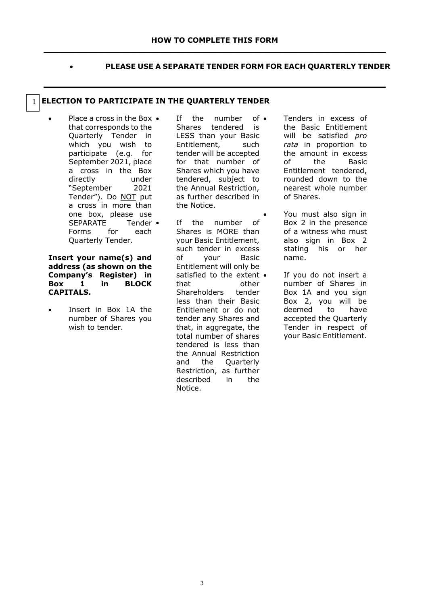**\_\_\_\_\_\_\_\_\_\_\_\_\_\_\_\_\_\_\_\_\_\_\_\_\_\_\_\_\_\_\_\_\_\_\_\_\_\_\_\_\_\_\_\_\_\_\_\_\_\_\_\_\_\_\_\_\_\_\_\_\_\_\_\_\_\_\_**

• **PLEASE USE A SEPARATE TENDER FORM FOR EACH QUARTERLY TENDER**

# **ELECTION TO PARTICIPATE IN THE QUARTERLY TENDER**

• Place a cross in the Box that corresponds to the Quarterly Tender in which you wish to participate (e.g. for September 2021, place a cross in the Box directly under "September 2021 Tender"). Do NOT put a cross in more than one box, please use SEPARATE Tender • Forms for each Quarterly Tender.

1

**Insert your name(s) and address (as shown on the Company's Register) in Box 1 in BLOCK CAPITALS.**

Insert in Box 1A the number of Shares you wish to tender.

If the number of  $\bullet$ Shares tendered is LESS than your Basic Entitlement, such tender will be accepted for that number of Shares which you have tendered, subject to the Annual Restriction, as further described in the Notice.

If the number of Shares is MORE than your Basic Entitlement, such tender in excess of your Basic Entitlement will only be satisfied to the extent  $\bullet$ that other Shareholders tender less than their Basic Entitlement or do not tender any Shares and that, in aggregate, the total number of shares tendered is less than the Annual Restriction and the Quarterly Restriction, as further<br>described in the described in the Notice.

• Tenders in excess of the Basic Entitlement will be satisfied *pro rata* in proportion to the amount in excess of the Basic Entitlement tendered, rounded down to the nearest whole number of Shares.

• You must also sign in Box 2 in the presence of a witness who must also sign in Box 2 stating his or her name.

If you do not insert a number of Shares in Box 1A and you sign Box 2, you will be deemed to have accepted the Quarterly Tender in respect of your Basic Entitlement.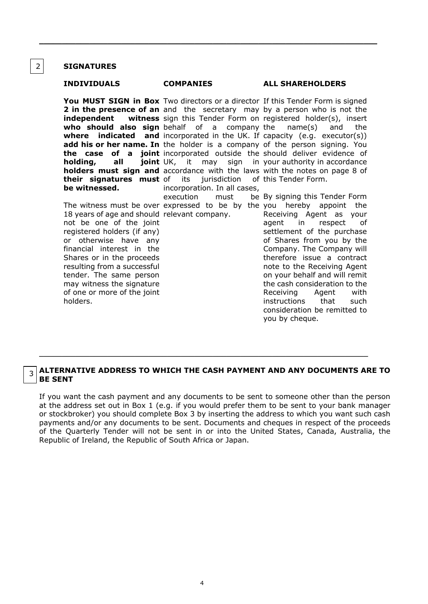#### **SIGNATURES**

2

3

**independent holding, all joint UK, their signatures must be witnessed.**

18 years of age and should relevant company. not be one of the joint registered holders (if any) or otherwise have any financial interest in the Shares or in the proceeds resulting from a successful tender. The same person may witness the signature of one or more of the joint holders.

**You MUST SIGN in Box** Two directors or a director If this Tender Form is signed **2 in the presence of an** and the secretary may by a person who is not the **who should also sign**  behalf of a company **where indicated and**  incorporated in the UK. If capacity (e.g. executor(s)) **add his or her name. In** the holder is a company of the person signing. You **the case of a joint** incorporated outside the should deliver evidence of **holders must sign and** accordance with the laws with the notes on page 8 of it may its jurisdiction incorporation. In all cases, execution must

\_\_\_\_\_\_\_\_\_\_\_\_\_\_\_\_\_\_\_\_\_\_\_\_\_\_\_\_\_\_\_\_\_\_\_\_\_\_\_\_\_\_\_\_\_\_\_\_\_\_\_\_\_\_\_\_\_\_\_\_\_\_\_\_\_\_\_\_\_\_\_\_\_\_

#### **INDIVIDUALS COMPANIES ALL SHAREHOLDERS**

sign this Tender Form on registered holder(s), insert company the  $name(s)$  and the sign in your authority in accordance of this Tender Form.

The witness must be over expressed to be by the you hereby appoint the be By signing this Tender Form Receiving Agent as your agent in respect of settlement of the purchase of Shares from you by the Company. The Company will therefore issue a contract note to the Receiving Agent on your behalf and will remit the cash consideration to the Receiving Agent with instructions that such consideration be remitted to you by cheque.

## **ALTERNATIVE ADDRESS TO WHICH THE CASH PAYMENT AND ANY DOCUMENTS ARE TO BE SENT**

 $\_$  , and the set of the set of the set of the set of the set of the set of the set of the set of the set of the set of the set of the set of the set of the set of the set of the set of the set of the set of the set of th

If you want the cash payment and any documents to be sent to someone other than the person at the address set out in Box 1 (e.g. if you would prefer them to be sent to your bank manager or stockbroker) you should complete Box 3 by inserting the address to which you want such cash payments and/or any documents to be sent. Documents and cheques in respect of the proceeds of the Quarterly Tender will not be sent in or into the United States, Canada, Australia, the Republic of Ireland, the Republic of South Africa or Japan.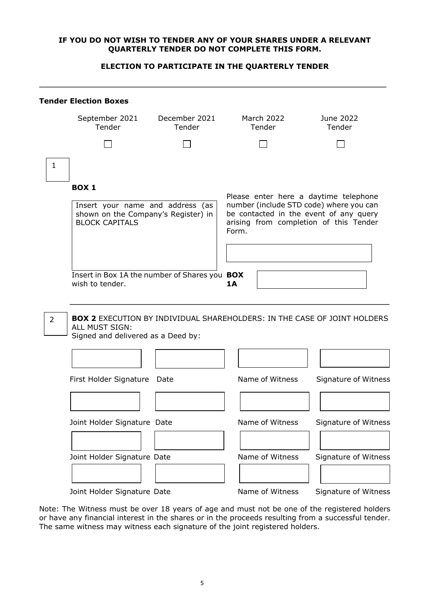## **IF YOU DO NOT WISH TO TENDER ANY OF YOUR SHARES UNDER A RELEVANT QUARTERLY TENDER DO NOT COMPLETE THIS FORM.**

## **ELECTION TO PARTICIPATE IN THE QUARTERLY TENDER**

|                | <b>Tender Election Boxes</b>                                                                     |                         |                                                                                                                                                                               |                             |  |
|----------------|--------------------------------------------------------------------------------------------------|-------------------------|-------------------------------------------------------------------------------------------------------------------------------------------------------------------------------|-----------------------------|--|
|                | September 2021<br>Tender                                                                         | December 2021<br>Tender | March 2022<br>Tender                                                                                                                                                          | June 2022<br>Tender         |  |
|                |                                                                                                  |                         |                                                                                                                                                                               |                             |  |
| 1              |                                                                                                  |                         |                                                                                                                                                                               |                             |  |
|                | BOX <sub>1</sub>                                                                                 |                         |                                                                                                                                                                               |                             |  |
|                | Insert your name and address (as<br>shown on the Company's Register) in<br><b>BLOCK CAPITALS</b> |                         | Please enter here a daytime telephone<br>number (include STD code) where you can<br>be contacted in the event of any query<br>arising from completion of this Tender<br>Form. |                             |  |
|                |                                                                                                  |                         |                                                                                                                                                                               |                             |  |
|                | Insert in Box 1A the number of Shares you BOX<br>wish to tender.                                 |                         | 1A                                                                                                                                                                            |                             |  |
| $\overline{2}$ | ALL MUST SIGN:<br>Signed and delivered as a Deed by:                                             |                         | <b>BOX 2 EXECUTION BY INDIVIDUAL SHAREHOLDERS: IN THE CASE OF JOINT HOLDERS</b>                                                                                               |                             |  |
|                |                                                                                                  |                         |                                                                                                                                                                               |                             |  |
|                | First Holder Signature Date                                                                      |                         | Name of Witness                                                                                                                                                               | <b>Signature of Witness</b> |  |
|                | Joint Holder Signature Date                                                                      |                         | Name of Witness                                                                                                                                                               | Signature of Witness        |  |
|                |                                                                                                  |                         |                                                                                                                                                                               |                             |  |
|                | Joint Holder Signature Date                                                                      |                         | Name of Witness                                                                                                                                                               | Signature of Witness        |  |
|                | Joint Holder Signature Date                                                                      |                         | Name of Witness                                                                                                                                                               | Signature of Witness        |  |

Note: The Witness must be over 18 years of age and must not be one of the registered holders or have any financial interest in the shares or in the proceeds resulting from a successful tender. The same witness may witness each signature of the joint registered holders.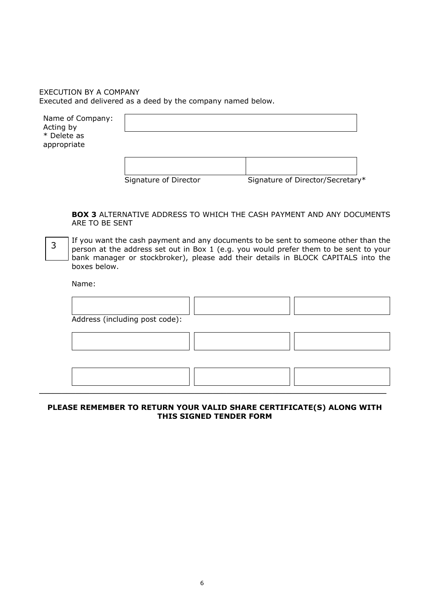# EXECUTION BY A COMPANY Executed and delivered as a deed by the company named below.

Name of Company: Acting by \* Delete as appropriate

Signature of Director Signature of Director/Secretary\*

**BOX 3** ALTERNATIVE ADDRESS TO WHICH THE CASH PAYMENT AND ANY DOCUMENTS ARE TO BE SENT

If you want the cash payment and any documents to be sent to someone other than the person at the address set out in Box 1 (e.g. you would prefer them to be sent to your bank manager or stockbroker), please add their details in BLOCK CAPITALS into the boxes below. 3

Name:

| Address (including post code): |  |  |
|--------------------------------|--|--|
|                                |  |  |
|                                |  |  |

# **PLEASE REMEMBER TO RETURN YOUR VALID SHARE CERTIFICATE(S) ALONG WITH THIS SIGNED TENDER FORM**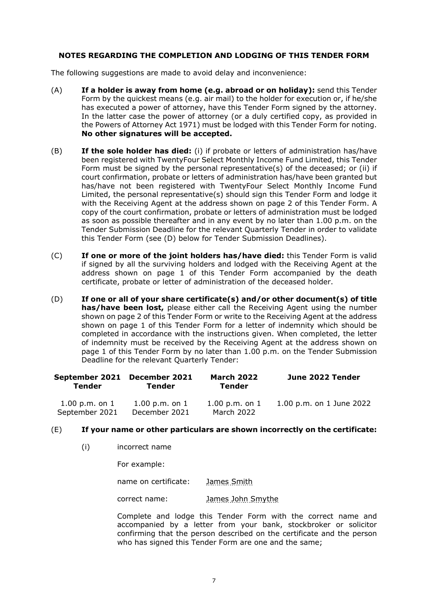# **NOTES REGARDING THE COMPLETION AND LODGING OF THIS TENDER FORM**

The following suggestions are made to avoid delay and inconvenience:

- (A) **If a holder is away from home (e.g. abroad or on holiday):** send this Tender Form by the quickest means (e.g. air mail) to the holder for execution or, if he/she has executed a power of attorney, have this Tender Form signed by the attorney. In the latter case the power of attorney (or a duly certified copy, as provided in the Powers of Attorney Act 1971) must be lodged with this Tender Form for noting. **No other signatures will be accepted.**
- (B) **If the sole holder has died:** (i) if probate or letters of administration has/have been registered with TwentyFour Select Monthly Income Fund Limited, this Tender Form must be signed by the personal representative(s) of the deceased; or (ii) if court confirmation, probate or letters of administration has/have been granted but has/have not been registered with TwentyFour Select Monthly Income Fund Limited, the personal representative(s) should sign this Tender Form and lodge it with the Receiving Agent at the address shown on page 2 of this Tender Form. A copy of the court confirmation, probate or letters of administration must be lodged as soon as possible thereafter and in any event by no later than 1.00 p.m. on the Tender Submission Deadline for the relevant Quarterly Tender in order to validate this Tender Form (see (D) below for Tender Submission Deadlines).
- (C) **If one or more of the joint holders has/have died:** this Tender Form is valid if signed by all the surviving holders and lodged with the Receiving Agent at the address shown on page 1 of this Tender Form accompanied by the death certificate, probate or letter of administration of the deceased holder.
- (D) **If one or all of your share certificate(s) and/or other document(s) of title has/have been lost,** please either call the Receiving Agent using the number shown on page 2 of this Tender Form or write to the Receiving Agent at the address shown on page 1 of this Tender Form for a letter of indemnity which should be completed in accordance with the instructions given. When completed, the letter of indemnity must be received by the Receiving Agent at the address shown on page 1 of this Tender Form by no later than 1.00 p.m. on the Tender Submission Deadline for the relevant Quarterly Tender:

| September 2021 December 2021<br>Tender | Tender             | <b>March 2022</b><br>Tender | June 2022 Tender         |
|----------------------------------------|--------------------|-----------------------------|--------------------------|
| $1.00$ p.m. on $1$                     | $1.00$ p.m. on $1$ | $1.00$ p.m. on $1$          | 1.00 p.m. on 1 June 2022 |
| September 2021                         | December 2021      | March 2022                  |                          |

## (E) **If your name or other particulars are shown incorrectly on the certificate:**

(i) incorrect name

For example:

name on certificate: James Smith

correct name: James John Smythe

Complete and lodge this Tender Form with the correct name and accompanied by a letter from your bank, stockbroker or solicitor confirming that the person described on the certificate and the person who has signed this Tender Form are one and the same;